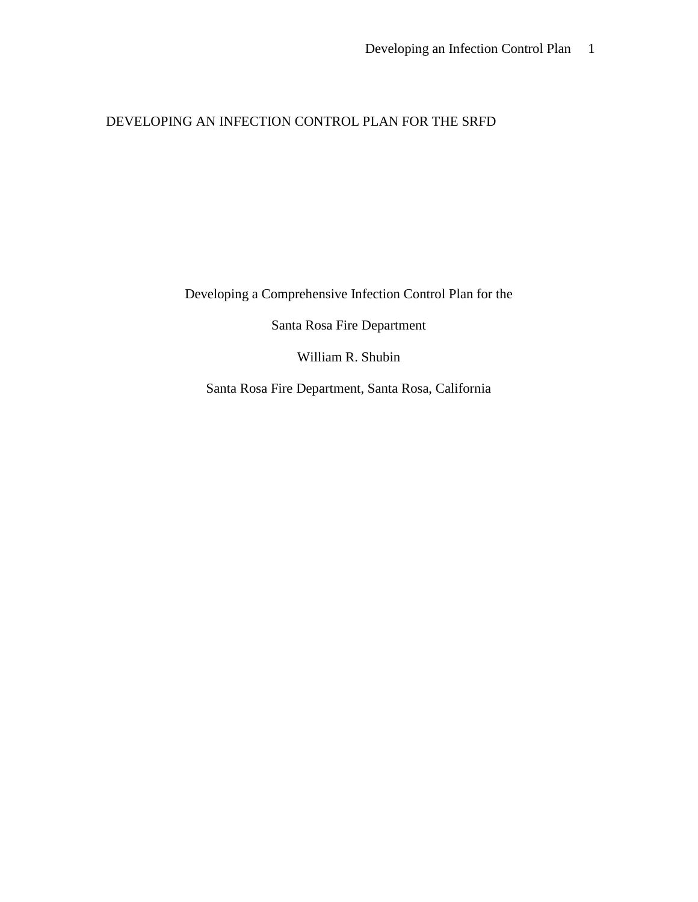## DEVELOPING AN INFECTION CONTROL PLAN FOR THE SRFD

Developing a Comprehensive Infection Control Plan for the

Santa Rosa Fire Department

William R. Shubin

Santa Rosa Fire Department, Santa Rosa, California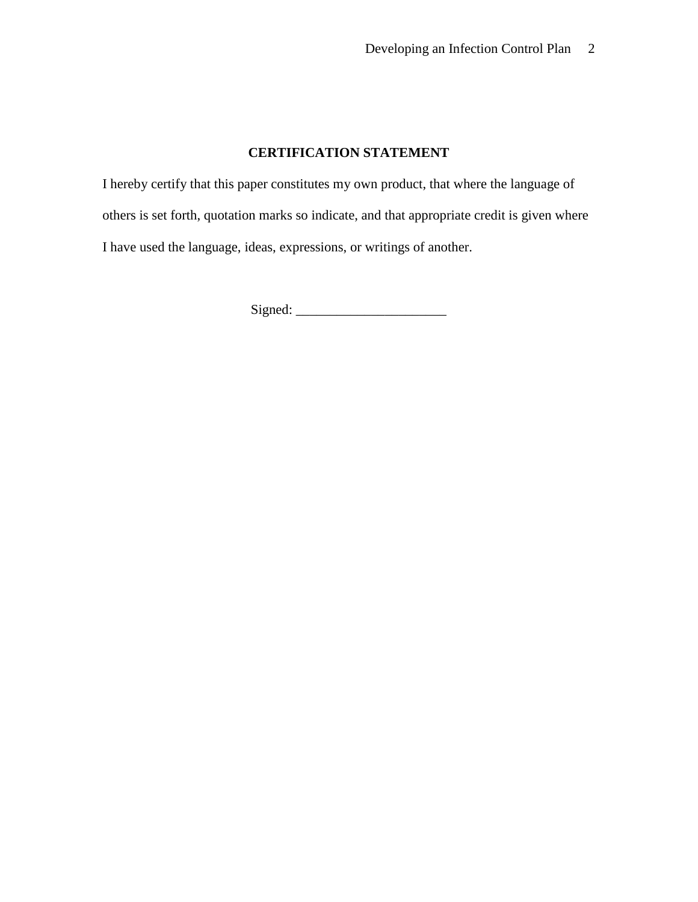## **CERTIFICATION STATEMENT**

I hereby certify that this paper constitutes my own product, that where the language of others is set forth, quotation marks so indicate, and that appropriate credit is given where I have used the language, ideas, expressions, or writings of another.

Signed: \_\_\_\_\_\_\_\_\_\_\_\_\_\_\_\_\_\_\_\_\_\_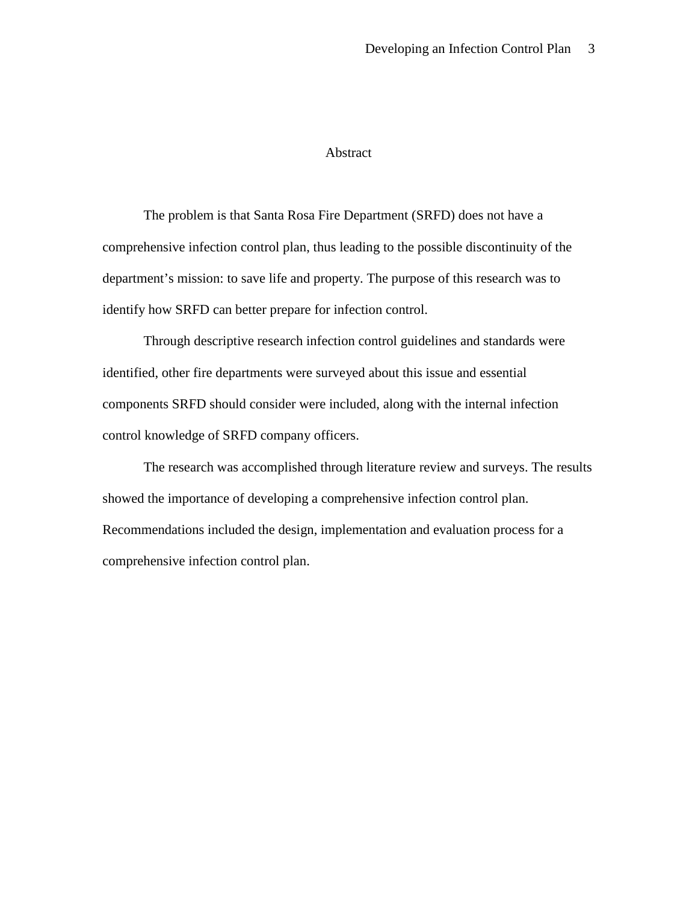### Abstract

The problem is that Santa Rosa Fire Department (SRFD) does not have a comprehensive infection control plan, thus leading to the possible discontinuity of the department's mission: to save life and property. The purpose of this research was to identify how SRFD can better prepare for infection control.

Through descriptive research infection control guidelines and standards were identified, other fire departments were surveyed about this issue and essential components SRFD should consider were included, along with the internal infection control knowledge of SRFD company officers.

The research was accomplished through literature review and surveys. The results showed the importance of developing a comprehensive infection control plan. Recommendations included the design, implementation and evaluation process for a comprehensive infection control plan.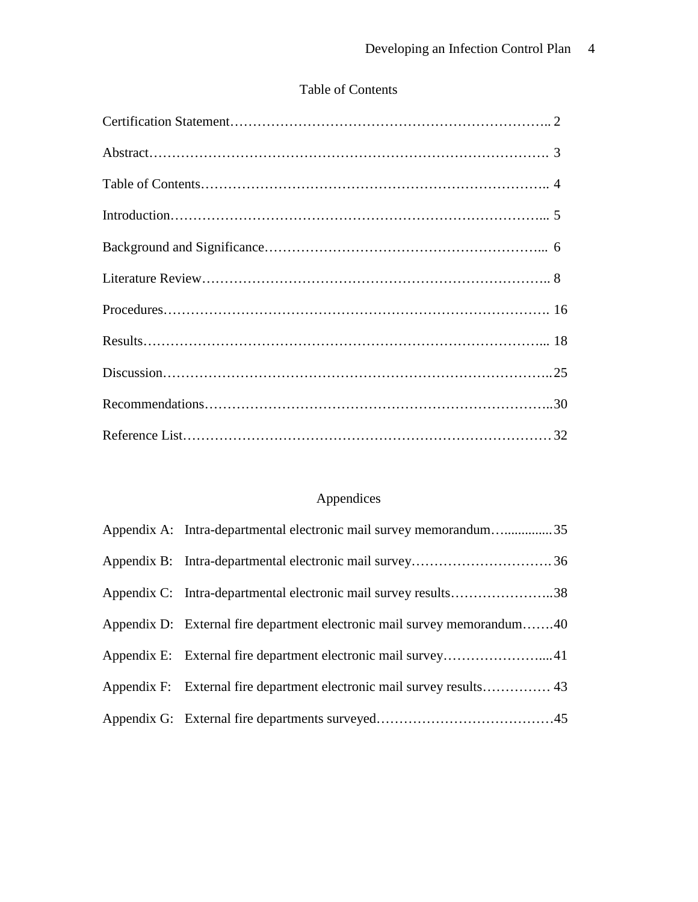## Table of Contents

# Appendices

| Appendix A: Intra-departmental electronic mail survey memorandum35       |  |
|--------------------------------------------------------------------------|--|
|                                                                          |  |
| Appendix C: Intra-departmental electronic mail survey results38          |  |
| Appendix D: External fire department electronic mail survey memorandum40 |  |
|                                                                          |  |
|                                                                          |  |
|                                                                          |  |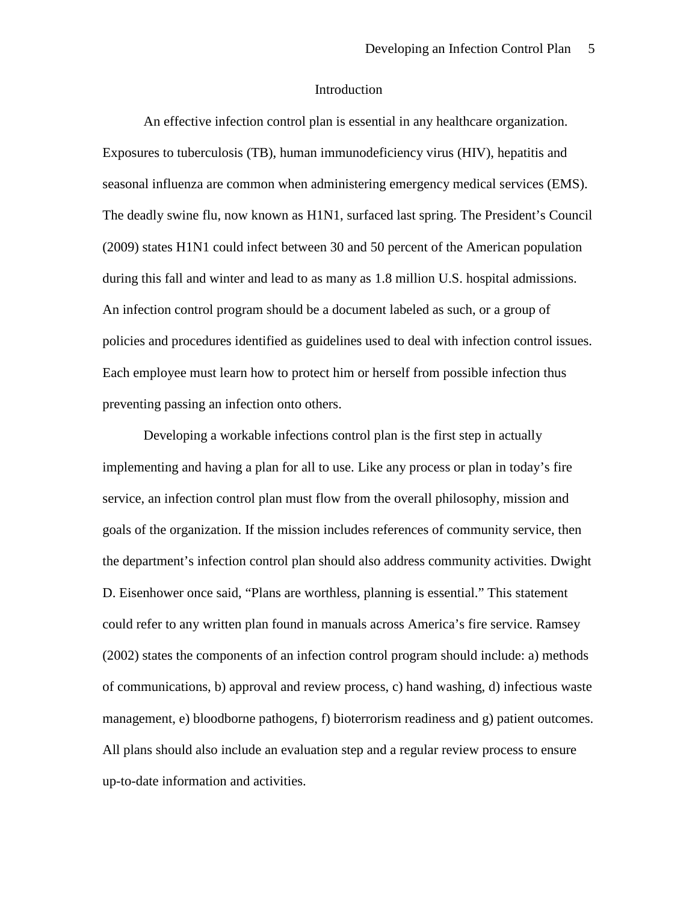#### Introduction

An effective infection control plan is essential in any healthcare organization. Exposures to tuberculosis (TB), human immunodeficiency virus (HIV), hepatitis and seasonal influenza are common when administering emergency medical services (EMS). The deadly swine flu, now known as H1N1, surfaced last spring. The President's Council (2009) states H1N1 could infect between 30 and 50 percent of the American population during this fall and winter and lead to as many as 1.8 million U.S. hospital admissions. An infection control program should be a document labeled as such, or a group of policies and procedures identified as guidelines used to deal with infection control issues. Each employee must learn how to protect him or herself from possible infection thus preventing passing an infection onto others.

Developing a workable infections control plan is the first step in actually implementing and having a plan for all to use. Like any process or plan in today's fire service, an infection control plan must flow from the overall philosophy, mission and goals of the organization. If the mission includes references of community service, then the department's infection control plan should also address community activities. Dwight D. Eisenhower once said, "Plans are worthless, planning is essential." This statement could refer to any written plan found in manuals across America's fire service. Ramsey (2002) states the components of an infection control program should include: a) methods of communications, b) approval and review process, c) hand washing, d) infectious waste management, e) bloodborne pathogens, f) bioterrorism readiness and g) patient outcomes. All plans should also include an evaluation step and a regular review process to ensure up-to-date information and activities.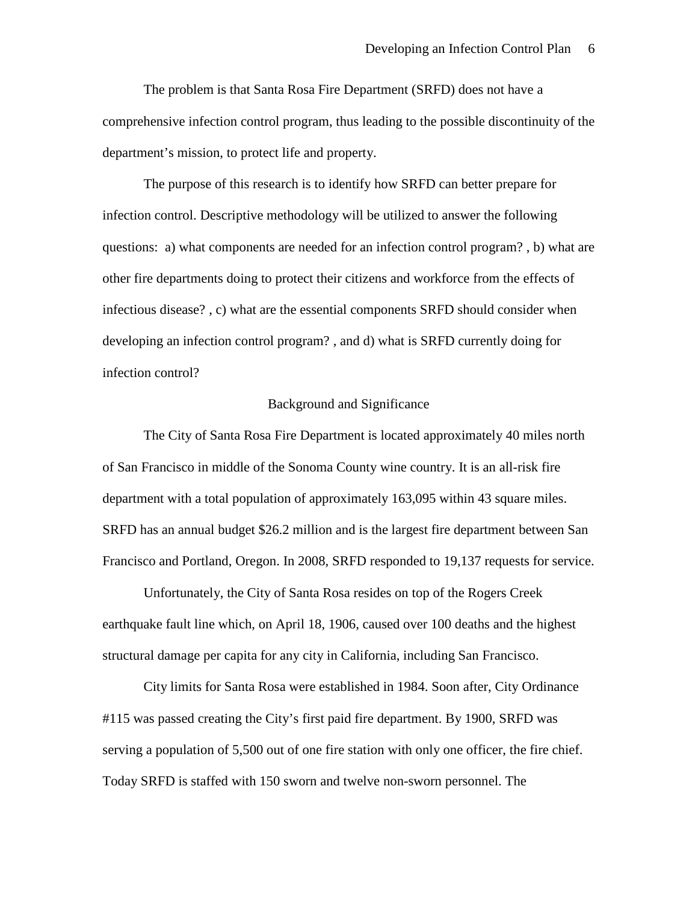The problem is that Santa Rosa Fire Department (SRFD) does not have a comprehensive infection control program, thus leading to the possible discontinuity of the department's mission, to protect life and property.

The purpose of this research is to identify how SRFD can better prepare for infection control. Descriptive methodology will be utilized to answer the following questions: a) what components are needed for an infection control program? , b) what are other fire departments doing to protect their citizens and workforce from the effects of infectious disease? , c) what are the essential components SRFD should consider when developing an infection control program? , and d) what is SRFD currently doing for infection control?

### Background and Significance

The City of Santa Rosa Fire Department is located approximately 40 miles north of San Francisco in middle of the Sonoma County wine country. It is an all-risk fire department with a total population of approximately 163,095 within 43 square miles. SRFD has an annual budget \$26.2 million and is the largest fire department between San Francisco and Portland, Oregon. In 2008, SRFD responded to 19,137 requests for service.

Unfortunately, the City of Santa Rosa resides on top of the Rogers Creek earthquake fault line which, on April 18, 1906, caused over 100 deaths and the highest structural damage per capita for any city in California, including San Francisco.

City limits for Santa Rosa were established in 1984. Soon after, City Ordinance #115 was passed creating the City's first paid fire department. By 1900, SRFD was serving a population of 5,500 out of one fire station with only one officer, the fire chief. Today SRFD is staffed with 150 sworn and twelve non-sworn personnel. The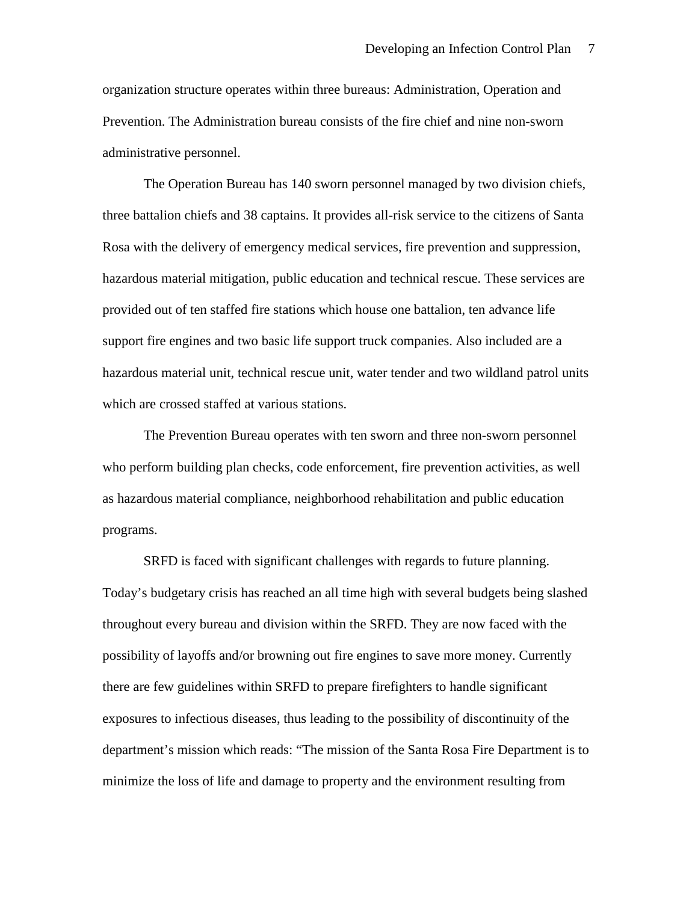organization structure operates within three bureaus: Administration, Operation and Prevention. The Administration bureau consists of the fire chief and nine non-sworn administrative personnel.

The Operation Bureau has 140 sworn personnel managed by two division chiefs, three battalion chiefs and 38 captains. It provides all-risk service to the citizens of Santa Rosa with the delivery of emergency medical services, fire prevention and suppression, hazardous material mitigation, public education and technical rescue. These services are provided out of ten staffed fire stations which house one battalion, ten advance life support fire engines and two basic life support truck companies. Also included are a hazardous material unit, technical rescue unit, water tender and two wildland patrol units which are crossed staffed at various stations.

The Prevention Bureau operates with ten sworn and three non-sworn personnel who perform building plan checks, code enforcement, fire prevention activities, as well as hazardous material compliance, neighborhood rehabilitation and public education programs.

SRFD is faced with significant challenges with regards to future planning. Today's budgetary crisis has reached an all time high with several budgets being slashed throughout every bureau and division within the SRFD. They are now faced with the possibility of layoffs and/or browning out fire engines to save more money. Currently there are few guidelines within SRFD to prepare firefighters to handle significant exposures to infectious diseases, thus leading to the possibility of discontinuity of the department's mission which reads: "The mission of the Santa Rosa Fire Department is to minimize the loss of life and damage to property and the environment resulting from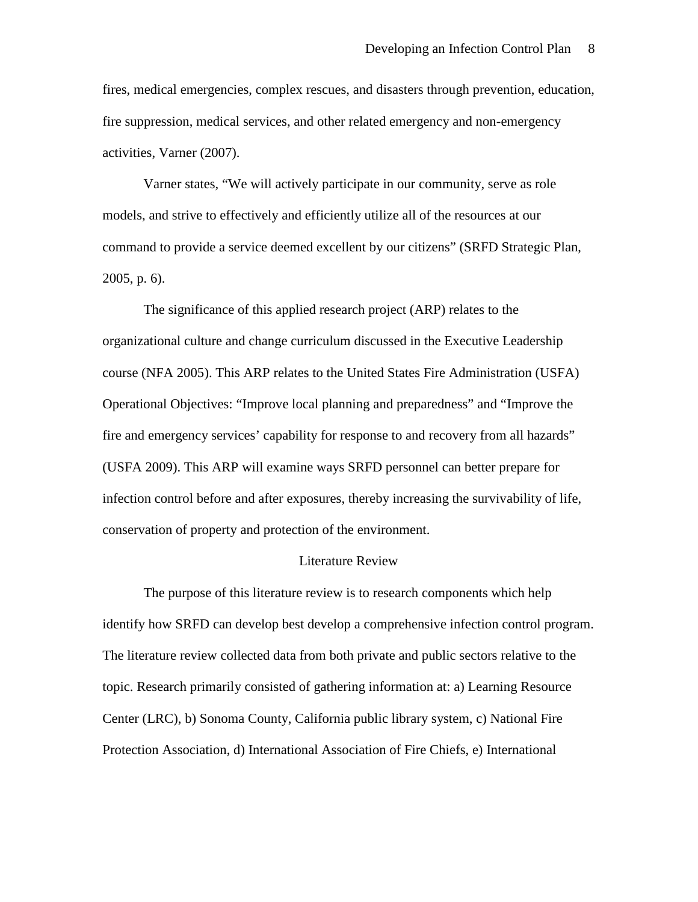fires, medical emergencies, complex rescues, and disasters through prevention, education, fire suppression, medical services, and other related emergency and non-emergency activities, Varner (2007).

Varner states, "We will actively participate in our community, serve as role models, and strive to effectively and efficiently utilize all of the resources at our command to provide a service deemed excellent by our citizens" (SRFD Strategic Plan, 2005, p. 6).

The significance of this applied research project (ARP) relates to the organizational culture and change curriculum discussed in the Executive Leadership course (NFA 2005). This ARP relates to the United States Fire Administration (USFA) Operational Objectives: "Improve local planning and preparedness" and "Improve the fire and emergency services' capability for response to and recovery from all hazards" (USFA 2009). This ARP will examine ways SRFD personnel can better prepare for infection control before and after exposures, thereby increasing the survivability of life, conservation of property and protection of the environment.

### Literature Review

The purpose of this literature review is to research components which help identify how SRFD can develop best develop a comprehensive infection control program. The literature review collected data from both private and public sectors relative to the topic. Research primarily consisted of gathering information at: a) Learning Resource Center (LRC), b) Sonoma County, California public library system, c) National Fire Protection Association, d) International Association of Fire Chiefs, e) International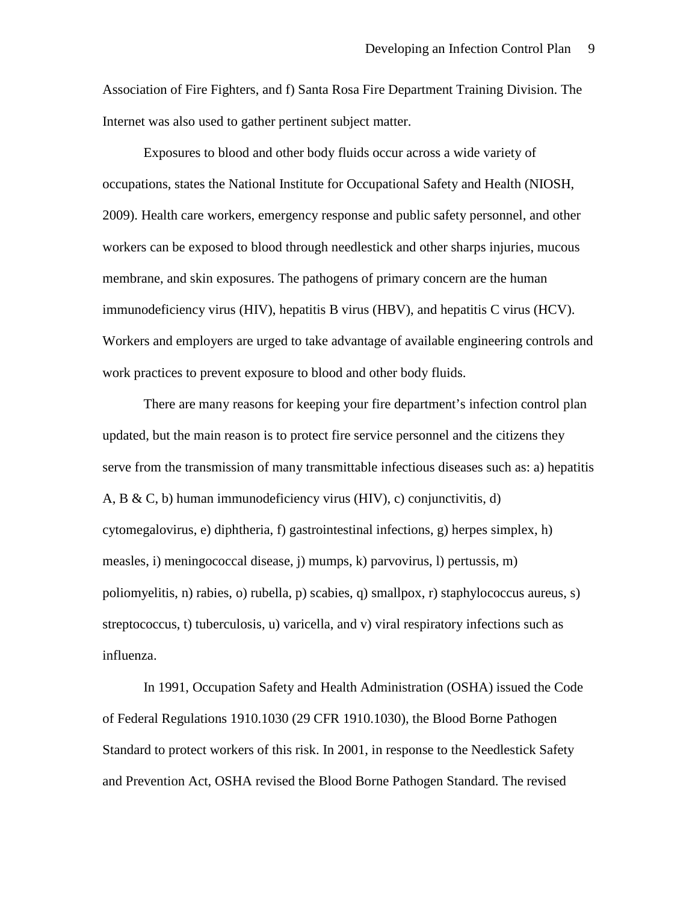Association of Fire Fighters, and f) Santa Rosa Fire Department Training Division. The Internet was also used to gather pertinent subject matter.

Exposures to blood and other body fluids occur across a wide variety of occupations, states the National Institute for Occupational Safety and Health (NIOSH, 2009). Health care workers, emergency response and public safety personnel, and other workers can be exposed to blood through needlestick and other sharps injuries, mucous membrane, and skin exposures. The pathogens of primary concern are the human immunodeficiency virus (HIV), hepatitis B virus (HBV), and hepatitis C virus (HCV). Workers and employers are urged to take advantage of available engineering controls and work practices to prevent exposure to blood and other body fluids.

There are many reasons for keeping your fire department's infection control plan updated, but the main reason is to protect fire service personnel and the citizens they serve from the transmission of many transmittable infectious diseases such as: a) hepatitis A, B & C, b) human immunodeficiency virus (HIV), c) conjunctivitis, d) cytomegalovirus, e) diphtheria, f) gastrointestinal infections, g) herpes simplex, h) measles, i) meningococcal disease, j) mumps, k) parvovirus, l) pertussis, m) poliomyelitis, n) rabies, o) rubella, p) scabies, q) smallpox, r) staphylococcus aureus, s) streptococcus, t) tuberculosis, u) varicella, and v) viral respiratory infections such as influenza.

In 1991, Occupation Safety and Health Administration (OSHA) issued the Code of Federal Regulations 1910.1030 (29 CFR 1910.1030), the Blood Borne Pathogen Standard to protect workers of this risk. In 2001, in response to the Needlestick Safety and Prevention Act, OSHA revised the Blood Borne Pathogen Standard. The revised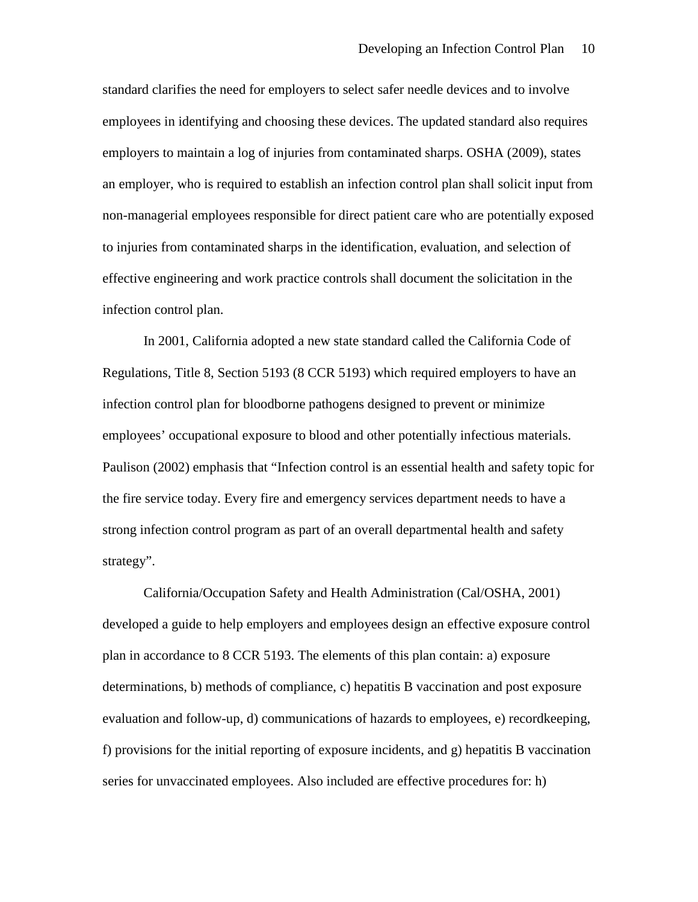standard clarifies the need for employers to select safer needle devices and to involve employees in identifying and choosing these devices. The updated standard also requires employers to maintain a log of injuries from contaminated sharps. OSHA (2009), states an employer, who is required to establish an infection control plan shall solicit input from non-managerial employees responsible for direct patient care who are potentially exposed to injuries from contaminated sharps in the identification, evaluation, and selection of effective engineering and work practice controls shall document the solicitation in the infection control plan.

In 2001, California adopted a new state standard called the California Code of Regulations, Title 8, Section 5193 (8 CCR 5193) which required employers to have an infection control plan for bloodborne pathogens designed to prevent or minimize employees' occupational exposure to blood and other potentially infectious materials. Paulison (2002) emphasis that "Infection control is an essential health and safety topic for the fire service today. Every fire and emergency services department needs to have a strong infection control program as part of an overall departmental health and safety strategy".

California/Occupation Safety and Health Administration (Cal/OSHA, 2001) developed a guide to help employers and employees design an effective exposure control plan in accordance to 8 CCR 5193. The elements of this plan contain: a) exposure determinations, b) methods of compliance, c) hepatitis B vaccination and post exposure evaluation and follow-up, d) communications of hazards to employees, e) recordkeeping, f) provisions for the initial reporting of exposure incidents, and g) hepatitis B vaccination series for unvaccinated employees. Also included are effective procedures for: h)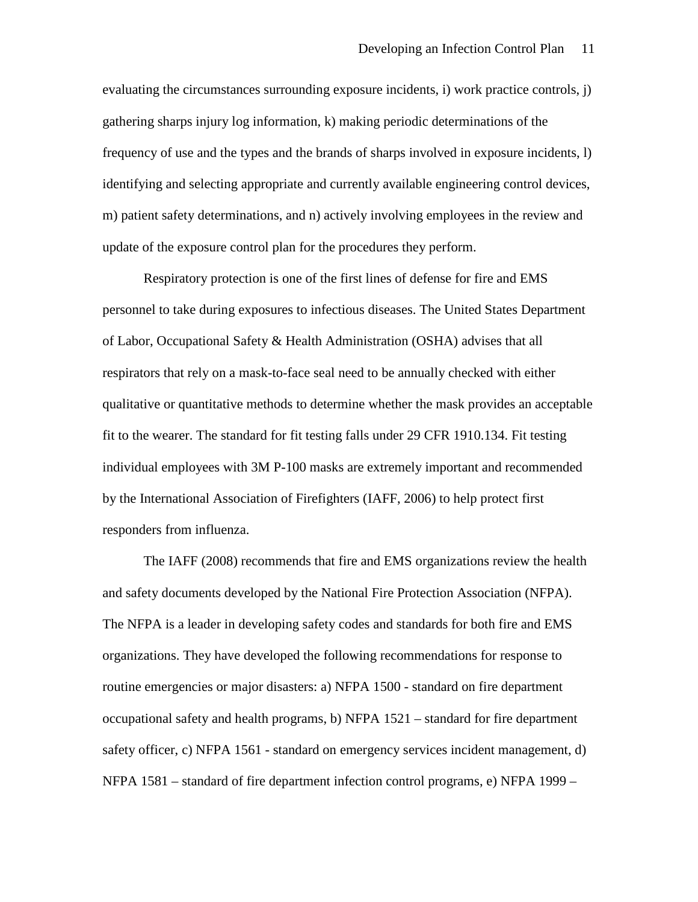evaluating the circumstances surrounding exposure incidents, i) work practice controls, j) gathering sharps injury log information, k) making periodic determinations of the frequency of use and the types and the brands of sharps involved in exposure incidents, l) identifying and selecting appropriate and currently available engineering control devices, m) patient safety determinations, and n) actively involving employees in the review and update of the exposure control plan for the procedures they perform.

Respiratory protection is one of the first lines of defense for fire and EMS personnel to take during exposures to infectious diseases. The United States Department of Labor, Occupational Safety & Health Administration (OSHA) advises that all respirators that rely on a mask-to-face seal need to be annually checked with either qualitative or quantitative methods to determine whether the mask provides an acceptable fit to the wearer. The standard for fit testing falls under 29 CFR 1910.134. Fit testing individual employees with 3M P-100 masks are extremely important and recommended by the International Association of Firefighters (IAFF, 2006) to help protect first responders from influenza.

The IAFF (2008) recommends that fire and EMS organizations review the health and safety documents developed by the National Fire Protection Association (NFPA). The NFPA is a leader in developing safety codes and standards for both fire and EMS organizations. They have developed the following recommendations for response to routine emergencies or major disasters: a) NFPA 1500 - standard on fire department occupational safety and health programs, b) NFPA 1521 – standard for fire department safety officer, c) NFPA 1561 - standard on emergency services incident management, d) NFPA 1581 – standard of fire department infection control programs, e) NFPA 1999 –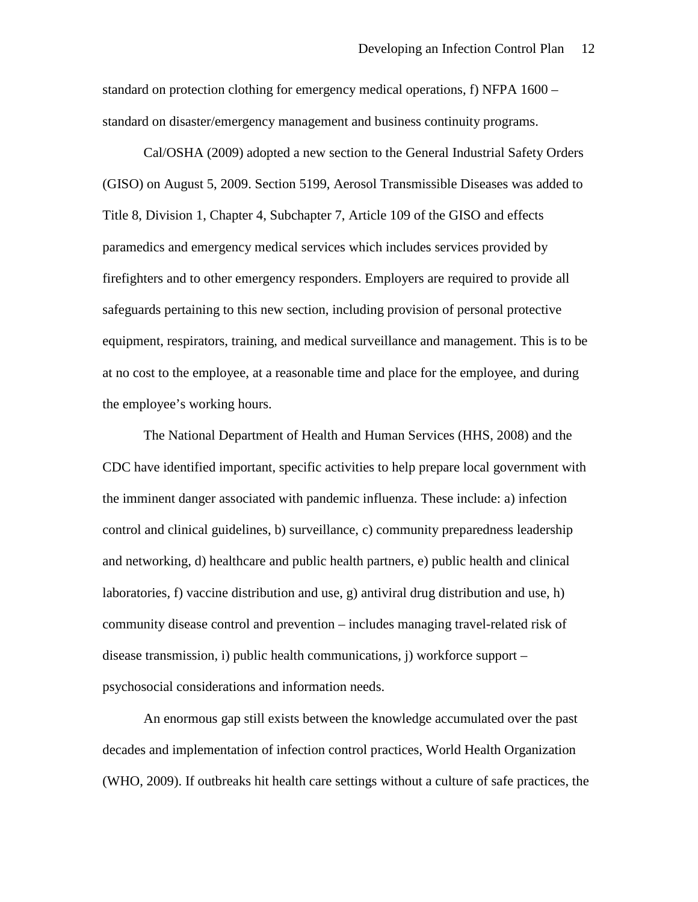standard on protection clothing for emergency medical operations, f) NFPA 1600 – standard on disaster/emergency management and business continuity programs.

Cal/OSHA (2009) adopted a new section to the General Industrial Safety Orders (GISO) on August 5, 2009. Section 5199, Aerosol Transmissible Diseases was added to Title 8, Division 1, Chapter 4, Subchapter 7, Article 109 of the GISO and effects paramedics and emergency medical services which includes services provided by firefighters and to other emergency responders. Employers are required to provide all safeguards pertaining to this new section, including provision of personal protective equipment, respirators, training, and medical surveillance and management. This is to be at no cost to the employee, at a reasonable time and place for the employee, and during the employee's working hours.

The National Department of Health and Human Services (HHS, 2008) and the CDC have identified important, specific activities to help prepare local government with the imminent danger associated with pandemic influenza. These include: a) infection control and clinical guidelines, b) surveillance, c) community preparedness leadership and networking, d) healthcare and public health partners, e) public health and clinical laboratories, f) vaccine distribution and use, g) antiviral drug distribution and use, h) community disease control and prevention – includes managing travel-related risk of disease transmission, i) public health communications, j) workforce support – psychosocial considerations and information needs.

An enormous gap still exists between the knowledge accumulated over the past decades and implementation of infection control practices, World Health Organization (WHO, 2009). If outbreaks hit health care settings without a culture of safe practices, the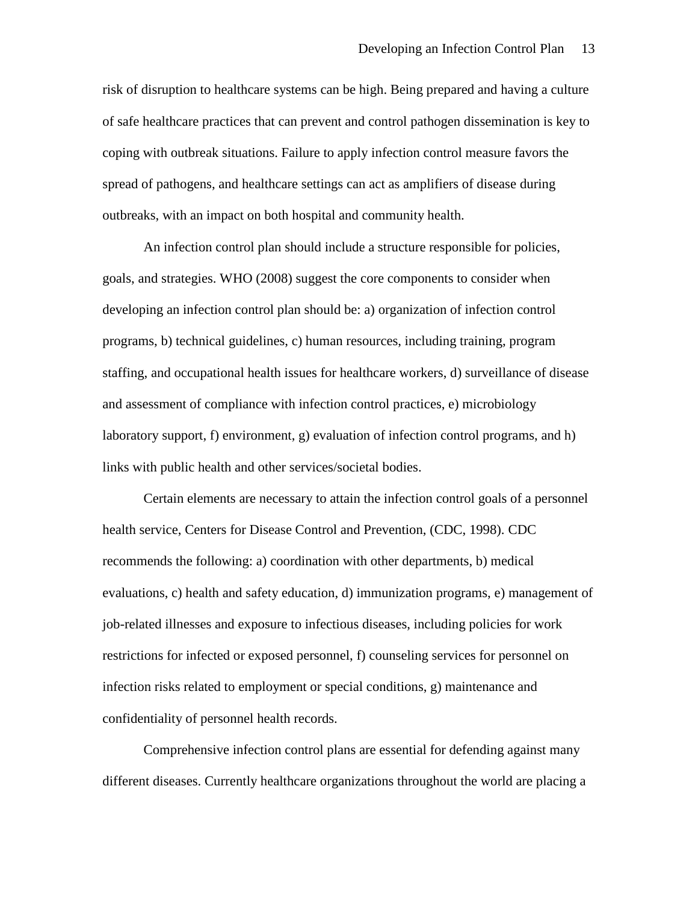risk of disruption to healthcare systems can be high. Being prepared and having a culture of safe healthcare practices that can prevent and control pathogen dissemination is key to coping with outbreak situations. Failure to apply infection control measure favors the spread of pathogens, and healthcare settings can act as amplifiers of disease during outbreaks, with an impact on both hospital and community health.

An infection control plan should include a structure responsible for policies, goals, and strategies. WHO (2008) suggest the core components to consider when developing an infection control plan should be: a) organization of infection control programs, b) technical guidelines, c) human resources, including training, program staffing, and occupational health issues for healthcare workers, d) surveillance of disease and assessment of compliance with infection control practices, e) microbiology laboratory support, f) environment, g) evaluation of infection control programs, and h) links with public health and other services/societal bodies.

Certain elements are necessary to attain the infection control goals of a personnel health service, Centers for Disease Control and Prevention, (CDC, 1998). CDC recommends the following: a) coordination with other departments, b) medical evaluations, c) health and safety education, d) immunization programs, e) management of job-related illnesses and exposure to infectious diseases, including policies for work restrictions for infected or exposed personnel, f) counseling services for personnel on infection risks related to employment or special conditions, g) maintenance and confidentiality of personnel health records.

Comprehensive infection control plans are essential for defending against many different diseases. Currently healthcare organizations throughout the world are placing a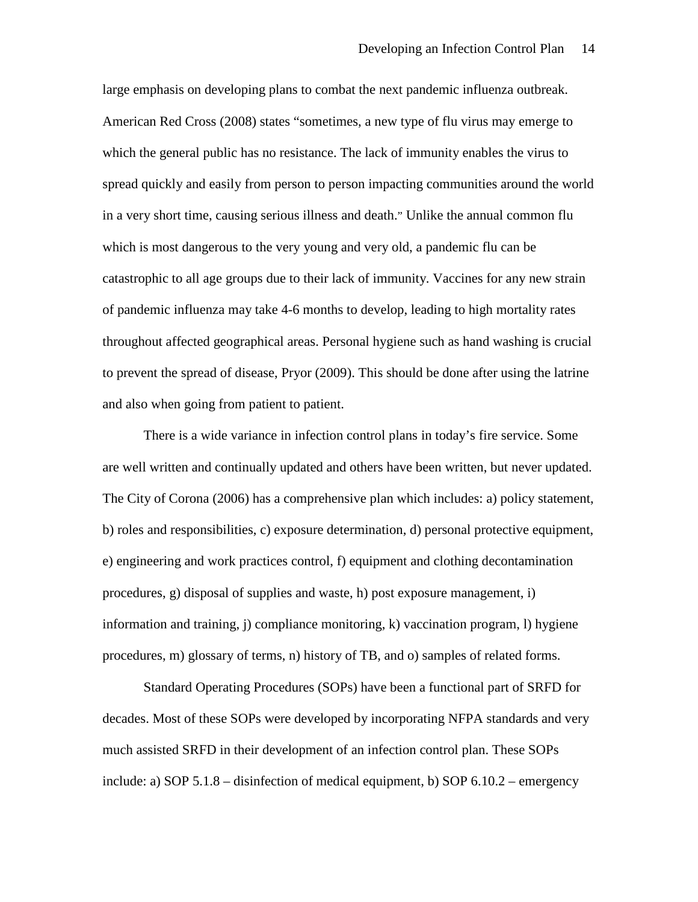large emphasis on developing plans to combat the next pandemic influenza outbreak. American Red Cross (2008) states "sometimes, a new type of flu virus may emerge to which the general public has no resistance. The lack of immunity enables the virus to spread quickly and easily from person to person impacting communities around the world in a very short time, causing serious illness and death." Unlike the annual common flu which is most dangerous to the very young and very old, a pandemic flu can be catastrophic to all age groups due to their lack of immunity. Vaccines for any new strain of pandemic influenza may take 4-6 months to develop, leading to high mortality rates throughout affected geographical areas. Personal hygiene such as hand washing is crucial to prevent the spread of disease, Pryor (2009). This should be done after using the latrine and also when going from patient to patient.

There is a wide variance in infection control plans in today's fire service. Some are well written and continually updated and others have been written, but never updated. The City of Corona (2006) has a comprehensive plan which includes: a) policy statement, b) roles and responsibilities, c) exposure determination, d) personal protective equipment, e) engineering and work practices control, f) equipment and clothing decontamination procedures, g) disposal of supplies and waste, h) post exposure management, i) information and training, j) compliance monitoring, k) vaccination program, l) hygiene procedures, m) glossary of terms, n) history of TB, and o) samples of related forms.

Standard Operating Procedures (SOPs) have been a functional part of SRFD for decades. Most of these SOPs were developed by incorporating NFPA standards and very much assisted SRFD in their development of an infection control plan. These SOPs include: a) SOP 5.1.8 – disinfection of medical equipment, b) SOP 6.10.2 – emergency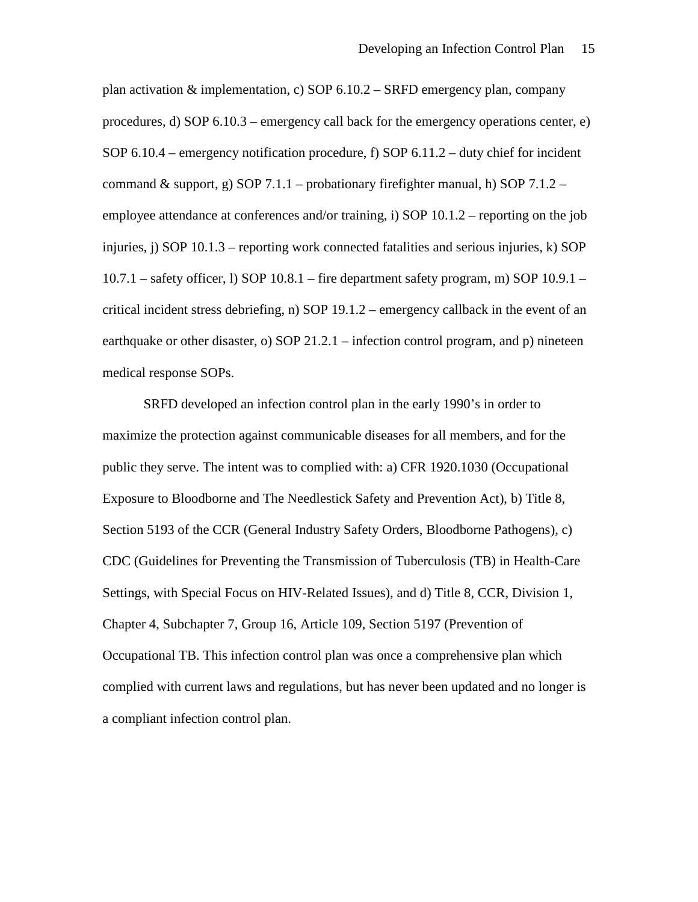plan activation & implementation, c) SOP  $6.10.2 -$  SRFD emergency plan, company procedures, d) SOP 6.10.3 – emergency call back for the emergency operations center, e) SOP 6.10.4 – emergency notification procedure, f) SOP 6.11.2 – duty chief for incident command & support, g) SOP 7.1.1 – probationary firefighter manual, h) SOP 7.1.2 – employee attendance at conferences and/or training, i) SOP 10.1.2 – reporting on the job injuries, j) SOP 10.1.3 – reporting work connected fatalities and serious injuries, k) SOP 10.7.1 – safety officer, l) SOP 10.8.1 – fire department safety program, m) SOP 10.9.1 – critical incident stress debriefing, n) SOP 19.1.2 – emergency callback in the event of an earthquake or other disaster, o) SOP 21.2.1 – infection control program, and p) nineteen medical response SOPs.

SRFD developed an infection control plan in the early 1990's in order to maximize the protection against communicable diseases for all members, and for the public they serve. The intent was to complied with: a) CFR 1920.1030 (Occupational Exposure to Bloodborne and The Needlestick Safety and Prevention Act), b) Title 8, Section 5193 of the CCR (General Industry Safety Orders, Bloodborne Pathogens), c) CDC (Guidelines for Preventing the Transmission of Tuberculosis (TB) in Health-Care Settings, with Special Focus on HIV-Related Issues), and d) Title 8, CCR, Division 1, Chapter 4, Subchapter 7, Group 16, Article 109, Section 5197 (Prevention of Occupational TB. This infection control plan was once a comprehensive plan which complied with current laws and regulations, but has never been updated and no longer is a compliant infection control plan.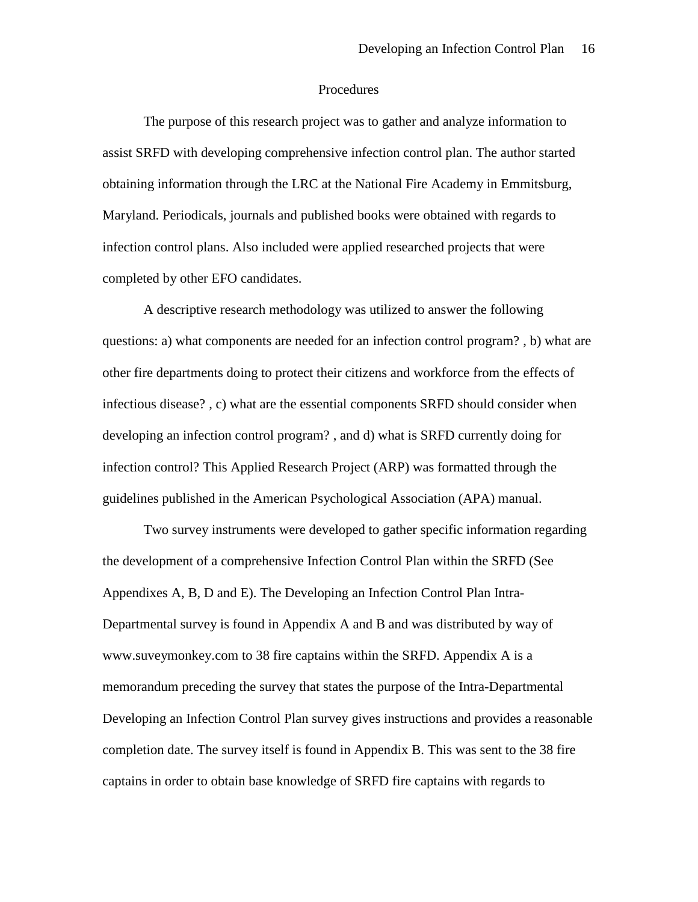#### Procedures

The purpose of this research project was to gather and analyze information to assist SRFD with developing comprehensive infection control plan. The author started obtaining information through the LRC at the National Fire Academy in Emmitsburg, Maryland. Periodicals, journals and published books were obtained with regards to infection control plans. Also included were applied researched projects that were completed by other EFO candidates.

A descriptive research methodology was utilized to answer the following questions: a) what components are needed for an infection control program? , b) what are other fire departments doing to protect their citizens and workforce from the effects of infectious disease? , c) what are the essential components SRFD should consider when developing an infection control program? , and d) what is SRFD currently doing for infection control? This Applied Research Project (ARP) was formatted through the guidelines published in the American Psychological Association (APA) manual.

Two survey instruments were developed to gather specific information regarding the development of a comprehensive Infection Control Plan within the SRFD (See Appendixes A, B, D and E). The Developing an Infection Control Plan Intra-Departmental survey is found in Appendix A and B and was distributed by way of www.suveymonkey.com to 38 fire captains within the SRFD. Appendix A is a memorandum preceding the survey that states the purpose of the Intra-Departmental Developing an Infection Control Plan survey gives instructions and provides a reasonable completion date. The survey itself is found in Appendix B. This was sent to the 38 fire captains in order to obtain base knowledge of SRFD fire captains with regards to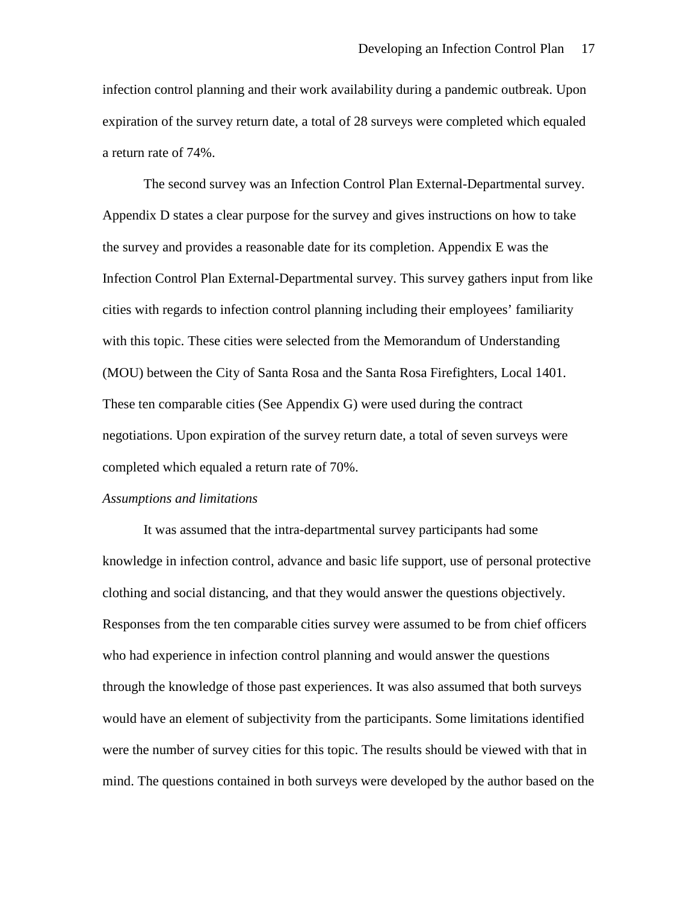infection control planning and their work availability during a pandemic outbreak. Upon expiration of the survey return date, a total of 28 surveys were completed which equaled a return rate of 74%.

The second survey was an Infection Control Plan External-Departmental survey. Appendix D states a clear purpose for the survey and gives instructions on how to take the survey and provides a reasonable date for its completion. Appendix E was the Infection Control Plan External-Departmental survey. This survey gathers input from like cities with regards to infection control planning including their employees' familiarity with this topic. These cities were selected from the Memorandum of Understanding (MOU) between the City of Santa Rosa and the Santa Rosa Firefighters, Local 1401. These ten comparable cities (See Appendix G) were used during the contract negotiations. Upon expiration of the survey return date, a total of seven surveys were completed which equaled a return rate of 70%.

#### *Assumptions and limitations*

It was assumed that the intra-departmental survey participants had some knowledge in infection control, advance and basic life support, use of personal protective clothing and social distancing, and that they would answer the questions objectively. Responses from the ten comparable cities survey were assumed to be from chief officers who had experience in infection control planning and would answer the questions through the knowledge of those past experiences. It was also assumed that both surveys would have an element of subjectivity from the participants. Some limitations identified were the number of survey cities for this topic. The results should be viewed with that in mind. The questions contained in both surveys were developed by the author based on the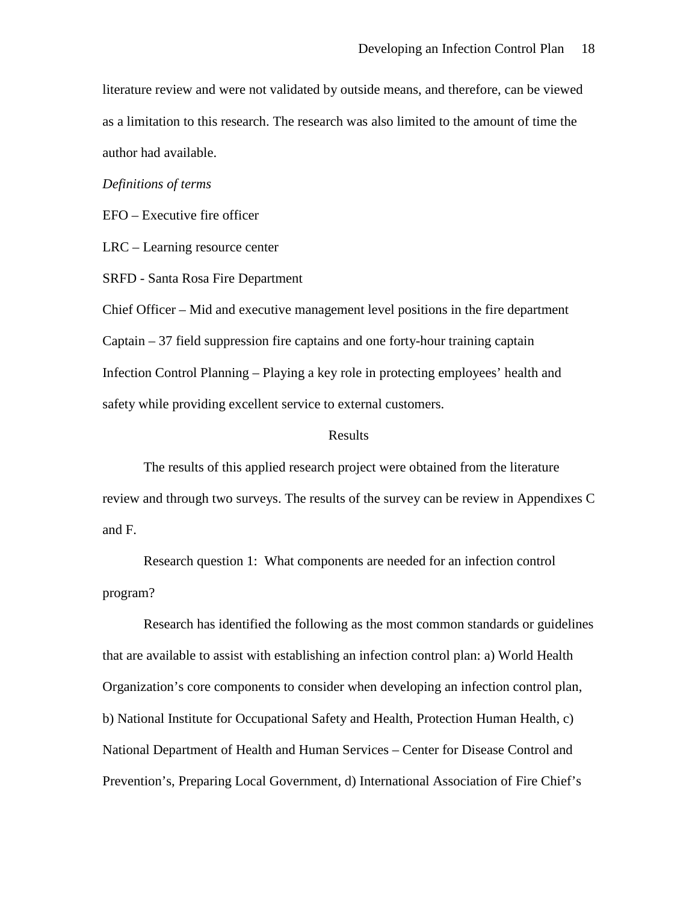literature review and were not validated by outside means, and therefore, can be viewed as a limitation to this research. The research was also limited to the amount of time the author had available.

### *Definitions of terms*

EFO – Executive fire officer

LRC – Learning resource center

SRFD - Santa Rosa Fire Department

Chief Officer – Mid and executive management level positions in the fire department Captain – 37 field suppression fire captains and one forty-hour training captain Infection Control Planning – Playing a key role in protecting employees' health and safety while providing excellent service to external customers.

#### Results

The results of this applied research project were obtained from the literature review and through two surveys. The results of the survey can be review in Appendixes C and F.

Research question 1: What components are needed for an infection control program?

Research has identified the following as the most common standards or guidelines that are available to assist with establishing an infection control plan: a) World Health Organization's core components to consider when developing an infection control plan, b) National Institute for Occupational Safety and Health, Protection Human Health, c) National Department of Health and Human Services – Center for Disease Control and Prevention's, Preparing Local Government, d) International Association of Fire Chief's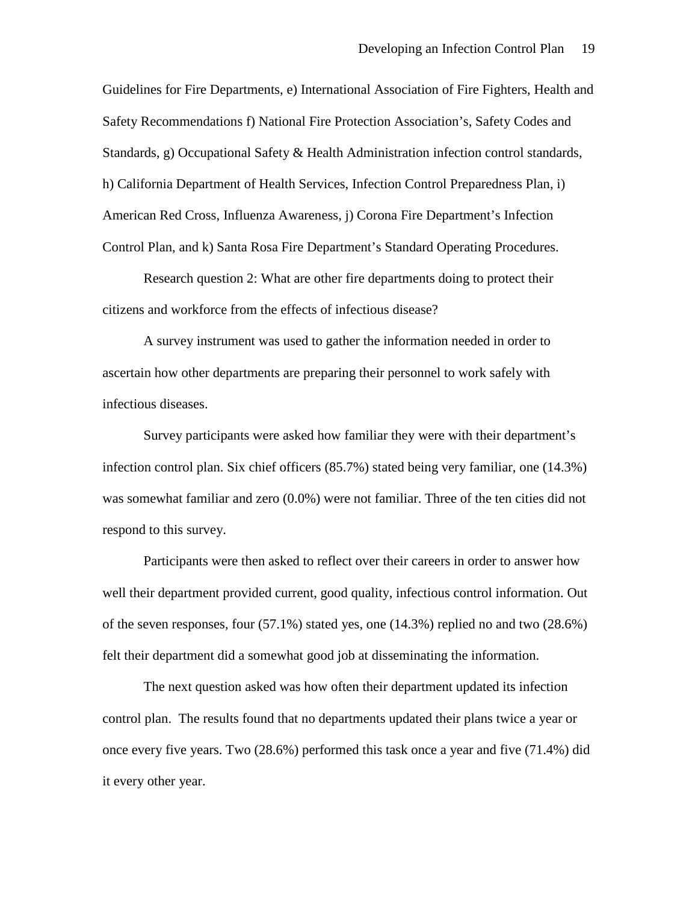Guidelines for Fire Departments, e) International Association of Fire Fighters, Health and Safety Recommendations f) National Fire Protection Association's, Safety Codes and Standards, g) Occupational Safety & Health Administration infection control standards, h) California Department of Health Services, Infection Control Preparedness Plan, i) American Red Cross, Influenza Awareness, j) Corona Fire Department's Infection Control Plan, and k) Santa Rosa Fire Department's Standard Operating Procedures.

Research question 2: What are other fire departments doing to protect their citizens and workforce from the effects of infectious disease?

A survey instrument was used to gather the information needed in order to ascertain how other departments are preparing their personnel to work safely with infectious diseases.

Survey participants were asked how familiar they were with their department's infection control plan. Six chief officers (85.7%) stated being very familiar, one (14.3%) was somewhat familiar and zero (0.0%) were not familiar. Three of the ten cities did not respond to this survey.

Participants were then asked to reflect over their careers in order to answer how well their department provided current, good quality, infectious control information. Out of the seven responses, four  $(57.1\%)$  stated yes, one  $(14.3\%)$  replied no and two  $(28.6\%)$ felt their department did a somewhat good job at disseminating the information.

The next question asked was how often their department updated its infection control plan. The results found that no departments updated their plans twice a year or once every five years. Two (28.6%) performed this task once a year and five (71.4%) did it every other year.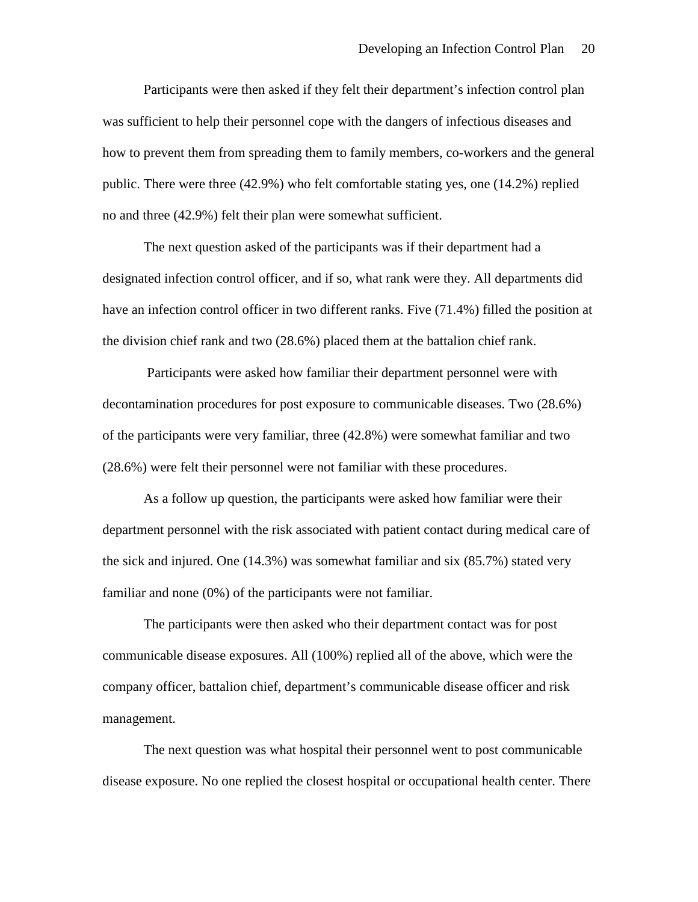Participants were then asked if they felt their department's infection control plan was sufficient to help their personnel cope with the dangers of infectious diseases and how to prevent them from spreading them to family members, co-workers and the general public. There were three (42.9%) who felt comfortable stating yes, one (14.2%) replied no and three (42.9%) felt their plan were somewhat sufficient.

The next question asked of the participants was if their department had a designated infection control officer, and if so, what rank were they. All departments did have an infection control officer in two different ranks. Five (71.4%) filled the position at the division chief rank and two (28.6%) placed them at the battalion chief rank.

Participants were asked how familiar their department personnel were with decontamination procedures for post exposure to communicable diseases. Two (28.6%) of the participants were very familiar, three (42.8%) were somewhat familiar and two (28.6%) were felt their personnel were not familiar with these procedures.

As a follow up question, the participants were asked how familiar were their department personnel with the risk associated with patient contact during medical care of the sick and injured. One (14.3%) was somewhat familiar and six (85.7%) stated very familiar and none (0%) of the participants were not familiar.

The participants were then asked who their department contact was for post communicable disease exposures. All (100%) replied all of the above, which were the company officer, battalion chief, department's communicable disease officer and risk management.

The next question was what hospital their personnel went to post communicable disease exposure. No one replied the closest hospital or occupational health center. There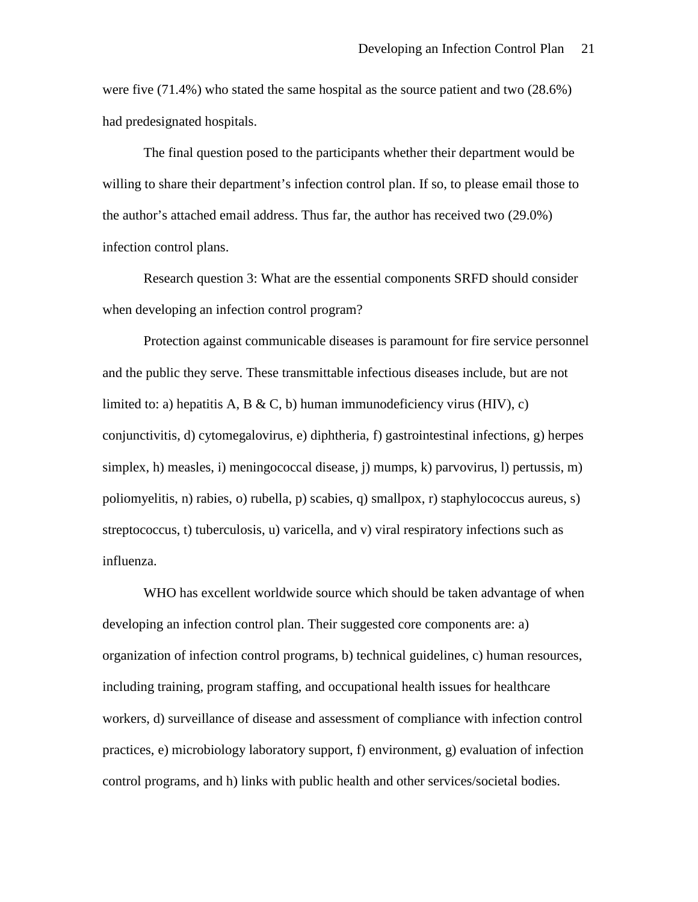were five (71.4%) who stated the same hospital as the source patient and two (28.6%) had predesignated hospitals.

The final question posed to the participants whether their department would be willing to share their department's infection control plan. If so, to please email those to the author's attached email address. Thus far, the author has received two (29.0%) infection control plans.

Research question 3: What are the essential components SRFD should consider when developing an infection control program?

Protection against communicable diseases is paramount for fire service personnel and the public they serve. These transmittable infectious diseases include, but are not limited to: a) hepatitis A, B & C, b) human immunodeficiency virus (HIV), c) conjunctivitis, d) cytomegalovirus, e) diphtheria, f) gastrointestinal infections, g) herpes simplex, h) measles, i) meningococcal disease, j) mumps, k) parvovirus, l) pertussis, m) poliomyelitis, n) rabies, o) rubella, p) scabies, q) smallpox, r) staphylococcus aureus, s) streptococcus, t) tuberculosis, u) varicella, and v) viral respiratory infections such as influenza.

WHO has excellent worldwide source which should be taken advantage of when developing an infection control plan. Their suggested core components are: a) organization of infection control programs, b) technical guidelines, c) human resources, including training, program staffing, and occupational health issues for healthcare workers, d) surveillance of disease and assessment of compliance with infection control practices, e) microbiology laboratory support, f) environment, g) evaluation of infection control programs, and h) links with public health and other services/societal bodies.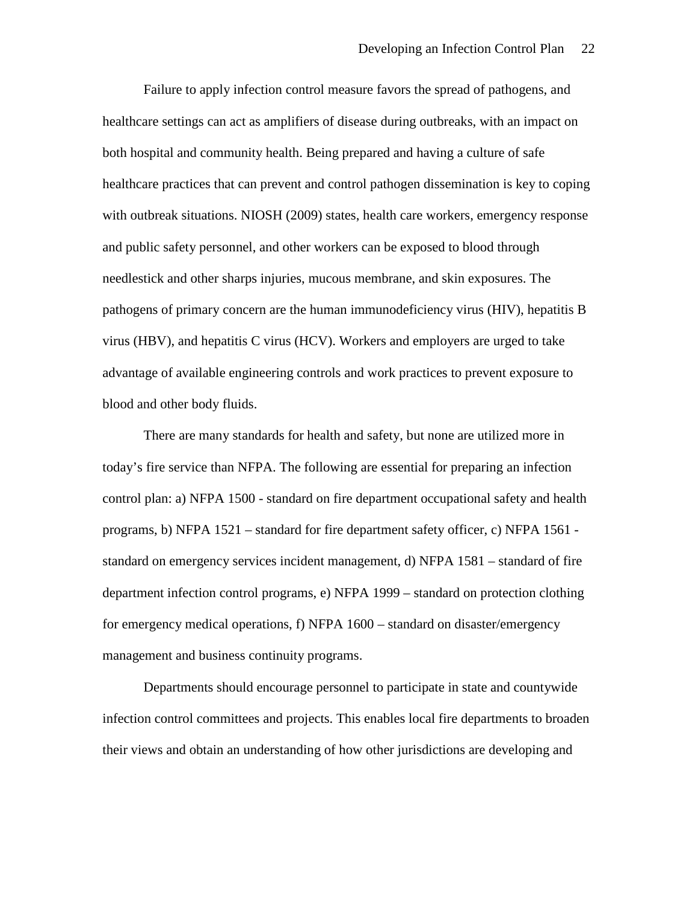Failure to apply infection control measure favors the spread of pathogens, and healthcare settings can act as amplifiers of disease during outbreaks, with an impact on both hospital and community health. Being prepared and having a culture of safe healthcare practices that can prevent and control pathogen dissemination is key to coping with outbreak situations. NIOSH (2009) states, health care workers, emergency response and public safety personnel, and other workers can be exposed to blood through needlestick and other sharps injuries, mucous membrane, and skin exposures. The pathogens of primary concern are the human immunodeficiency virus (HIV), hepatitis B virus (HBV), and hepatitis C virus (HCV). Workers and employers are urged to take advantage of available engineering controls and work practices to prevent exposure to blood and other body fluids.

There are many standards for health and safety, but none are utilized more in today's fire service than NFPA. The following are essential for preparing an infection control plan: a) NFPA 1500 - standard on fire department occupational safety and health programs, b) NFPA 1521 – standard for fire department safety officer, c) NFPA 1561 standard on emergency services incident management, d) NFPA 1581 – standard of fire department infection control programs, e) NFPA 1999 – standard on protection clothing for emergency medical operations, f) NFPA 1600 – standard on disaster/emergency management and business continuity programs.

Departments should encourage personnel to participate in state and countywide infection control committees and projects. This enables local fire departments to broaden their views and obtain an understanding of how other jurisdictions are developing and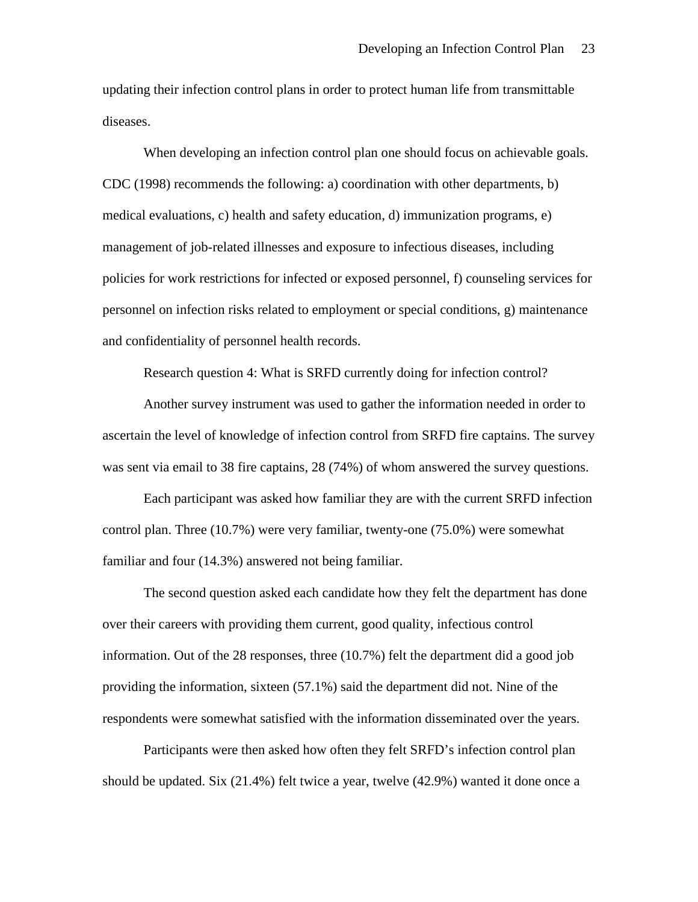updating their infection control plans in order to protect human life from transmittable diseases.

When developing an infection control plan one should focus on achievable goals. CDC (1998) recommends the following: a) coordination with other departments, b) medical evaluations, c) health and safety education, d) immunization programs, e) management of job-related illnesses and exposure to infectious diseases, including policies for work restrictions for infected or exposed personnel, f) counseling services for personnel on infection risks related to employment or special conditions, g) maintenance and confidentiality of personnel health records.

Research question 4: What is SRFD currently doing for infection control?

Another survey instrument was used to gather the information needed in order to ascertain the level of knowledge of infection control from SRFD fire captains. The survey was sent via email to 38 fire captains, 28 (74%) of whom answered the survey questions.

Each participant was asked how familiar they are with the current SRFD infection control plan. Three (10.7%) were very familiar, twenty-one (75.0%) were somewhat familiar and four (14.3%) answered not being familiar.

The second question asked each candidate how they felt the department has done over their careers with providing them current, good quality, infectious control information. Out of the 28 responses, three (10.7%) felt the department did a good job providing the information, sixteen (57.1%) said the department did not. Nine of the respondents were somewhat satisfied with the information disseminated over the years.

Participants were then asked how often they felt SRFD's infection control plan should be updated. Six (21.4%) felt twice a year, twelve (42.9%) wanted it done once a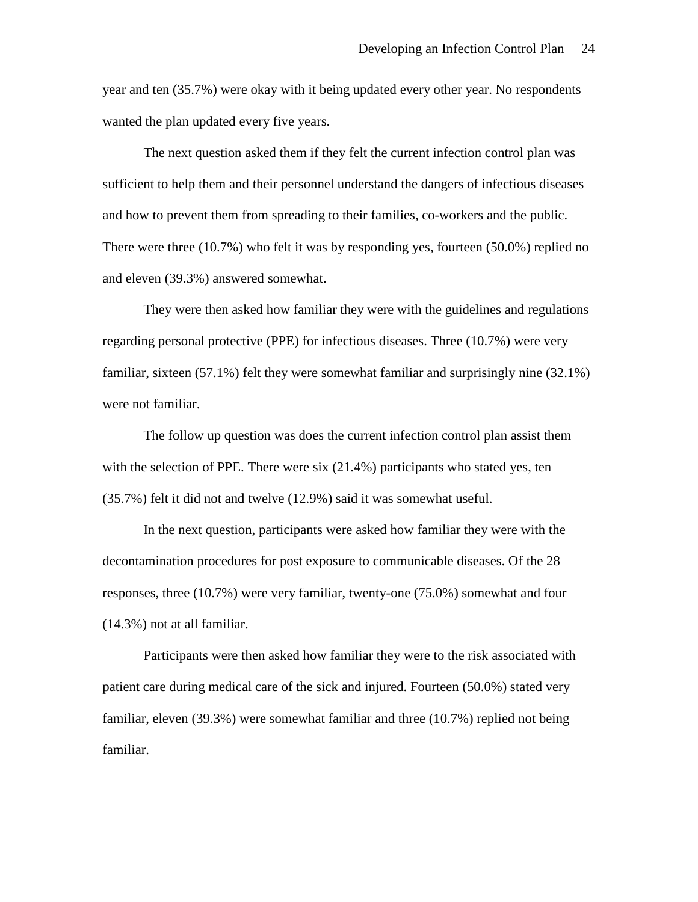year and ten (35.7%) were okay with it being updated every other year. No respondents wanted the plan updated every five years.

The next question asked them if they felt the current infection control plan was sufficient to help them and their personnel understand the dangers of infectious diseases and how to prevent them from spreading to their families, co-workers and the public. There were three (10.7%) who felt it was by responding yes, fourteen (50.0%) replied no and eleven (39.3%) answered somewhat.

They were then asked how familiar they were with the guidelines and regulations regarding personal protective (PPE) for infectious diseases. Three (10.7%) were very familiar, sixteen (57.1%) felt they were somewhat familiar and surprisingly nine (32.1%) were not familiar.

The follow up question was does the current infection control plan assist them with the selection of PPE. There were six  $(21.4%)$  participants who stated yes, ten (35.7%) felt it did not and twelve (12.9%) said it was somewhat useful.

In the next question, participants were asked how familiar they were with the decontamination procedures for post exposure to communicable diseases. Of the 28 responses, three (10.7%) were very familiar, twenty-one (75.0%) somewhat and four (14.3%) not at all familiar.

Participants were then asked how familiar they were to the risk associated with patient care during medical care of the sick and injured. Fourteen (50.0%) stated very familiar, eleven (39.3%) were somewhat familiar and three (10.7%) replied not being familiar.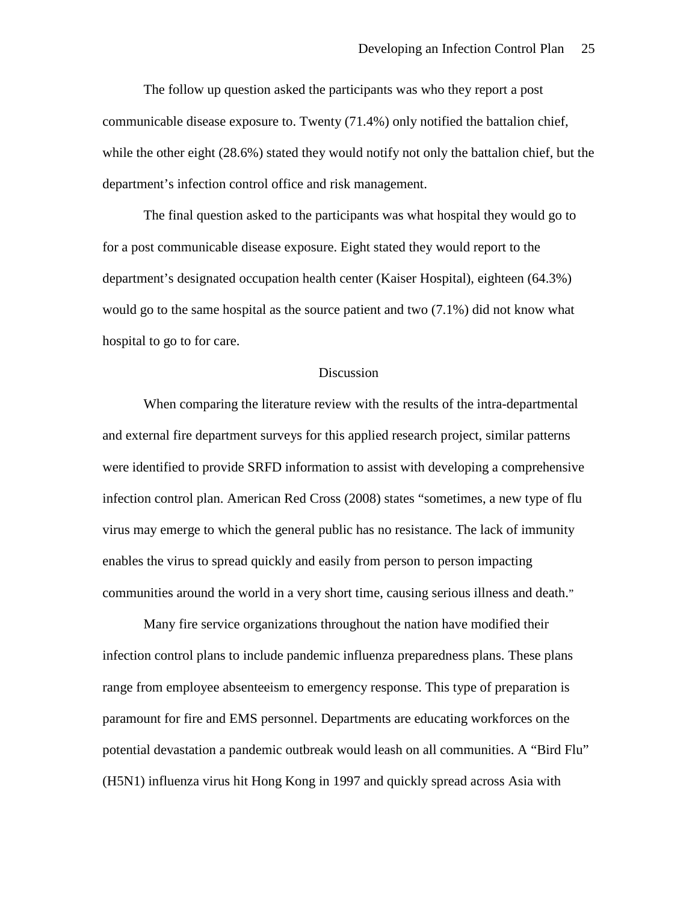The follow up question asked the participants was who they report a post communicable disease exposure to. Twenty (71.4%) only notified the battalion chief, while the other eight (28.6%) stated they would notify not only the battalion chief, but the department's infection control office and risk management.

The final question asked to the participants was what hospital they would go to for a post communicable disease exposure. Eight stated they would report to the department's designated occupation health center (Kaiser Hospital), eighteen (64.3%) would go to the same hospital as the source patient and two (7.1%) did not know what hospital to go to for care.

#### Discussion

When comparing the literature review with the results of the intra-departmental and external fire department surveys for this applied research project, similar patterns were identified to provide SRFD information to assist with developing a comprehensive infection control plan. American Red Cross (2008) states "sometimes, a new type of flu virus may emerge to which the general public has no resistance. The lack of immunity enables the virus to spread quickly and easily from person to person impacting communities around the world in a very short time, causing serious illness and death."

Many fire service organizations throughout the nation have modified their infection control plans to include pandemic influenza preparedness plans. These plans range from employee absenteeism to emergency response. This type of preparation is paramount for fire and EMS personnel. Departments are educating workforces on the potential devastation a pandemic outbreak would leash on all communities. A "Bird Flu" (H5N1) influenza virus hit Hong Kong in 1997 and quickly spread across Asia with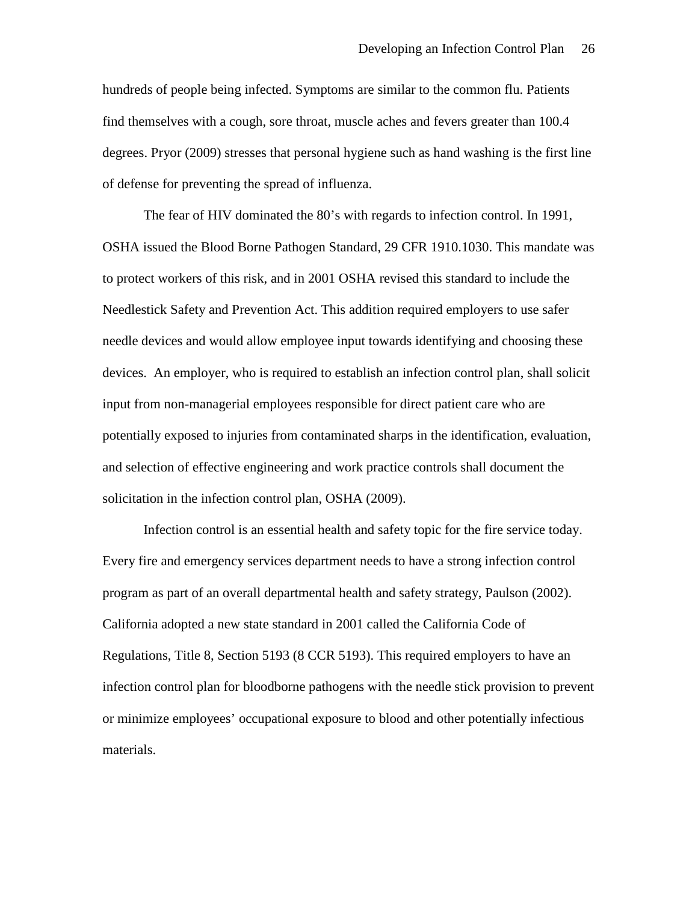hundreds of people being infected. Symptoms are similar to the common flu. Patients find themselves with a cough, sore throat, muscle aches and fevers greater than 100.4 degrees. Pryor (2009) stresses that personal hygiene such as hand washing is the first line of defense for preventing the spread of influenza.

The fear of HIV dominated the 80's with regards to infection control. In 1991, OSHA issued the Blood Borne Pathogen Standard, 29 CFR 1910.1030. This mandate was to protect workers of this risk, and in 2001 OSHA revised this standard to include the Needlestick Safety and Prevention Act. This addition required employers to use safer needle devices and would allow employee input towards identifying and choosing these devices. An employer, who is required to establish an infection control plan, shall solicit input from non-managerial employees responsible for direct patient care who are potentially exposed to injuries from contaminated sharps in the identification, evaluation, and selection of effective engineering and work practice controls shall document the solicitation in the infection control plan, OSHA (2009).

Infection control is an essential health and safety topic for the fire service today. Every fire and emergency services department needs to have a strong infection control program as part of an overall departmental health and safety strategy, Paulson (2002). California adopted a new state standard in 2001 called the California Code of Regulations, Title 8, Section 5193 (8 CCR 5193). This required employers to have an infection control plan for bloodborne pathogens with the needle stick provision to prevent or minimize employees' occupational exposure to blood and other potentially infectious materials.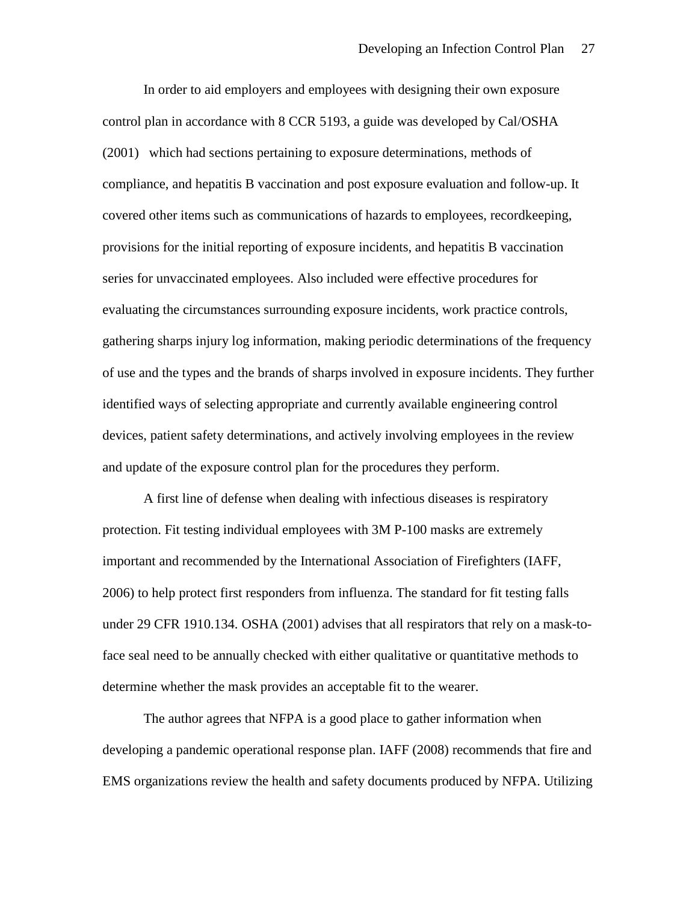In order to aid employers and employees with designing their own exposure control plan in accordance with 8 CCR 5193, a guide was developed by Cal/OSHA (2001) which had sections pertaining to exposure determinations, methods of compliance, and hepatitis B vaccination and post exposure evaluation and follow-up. It covered other items such as communications of hazards to employees, recordkeeping, provisions for the initial reporting of exposure incidents, and hepatitis B vaccination series for unvaccinated employees. Also included were effective procedures for evaluating the circumstances surrounding exposure incidents, work practice controls, gathering sharps injury log information, making periodic determinations of the frequency of use and the types and the brands of sharps involved in exposure incidents. They further identified ways of selecting appropriate and currently available engineering control devices, patient safety determinations, and actively involving employees in the review and update of the exposure control plan for the procedures they perform.

A first line of defense when dealing with infectious diseases is respiratory protection. Fit testing individual employees with 3M P-100 masks are extremely important and recommended by the International Association of Firefighters (IAFF, 2006) to help protect first responders from influenza. The standard for fit testing falls under 29 CFR 1910.134. OSHA (2001) advises that all respirators that rely on a mask-toface seal need to be annually checked with either qualitative or quantitative methods to determine whether the mask provides an acceptable fit to the wearer.

The author agrees that NFPA is a good place to gather information when developing a pandemic operational response plan. IAFF (2008) recommends that fire and EMS organizations review the health and safety documents produced by NFPA. Utilizing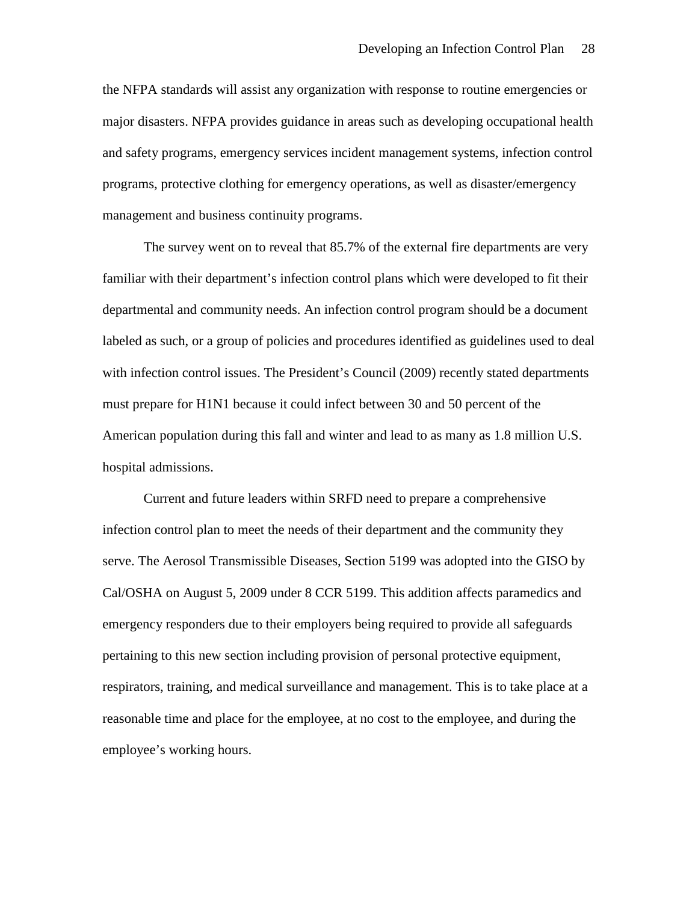the NFPA standards will assist any organization with response to routine emergencies or major disasters. NFPA provides guidance in areas such as developing occupational health and safety programs, emergency services incident management systems, infection control programs, protective clothing for emergency operations, as well as disaster/emergency management and business continuity programs.

The survey went on to reveal that 85.7% of the external fire departments are very familiar with their department's infection control plans which were developed to fit their departmental and community needs. An infection control program should be a document labeled as such, or a group of policies and procedures identified as guidelines used to deal with infection control issues. The President's Council (2009) recently stated departments must prepare for H1N1 because it could infect between 30 and 50 percent of the American population during this fall and winter and lead to as many as 1.8 million U.S. hospital admissions.

Current and future leaders within SRFD need to prepare a comprehensive infection control plan to meet the needs of their department and the community they serve. The Aerosol Transmissible Diseases, Section 5199 was adopted into the GISO by Cal/OSHA on August 5, 2009 under 8 CCR 5199. This addition affects paramedics and emergency responders due to their employers being required to provide all safeguards pertaining to this new section including provision of personal protective equipment, respirators, training, and medical surveillance and management. This is to take place at a reasonable time and place for the employee, at no cost to the employee, and during the employee's working hours.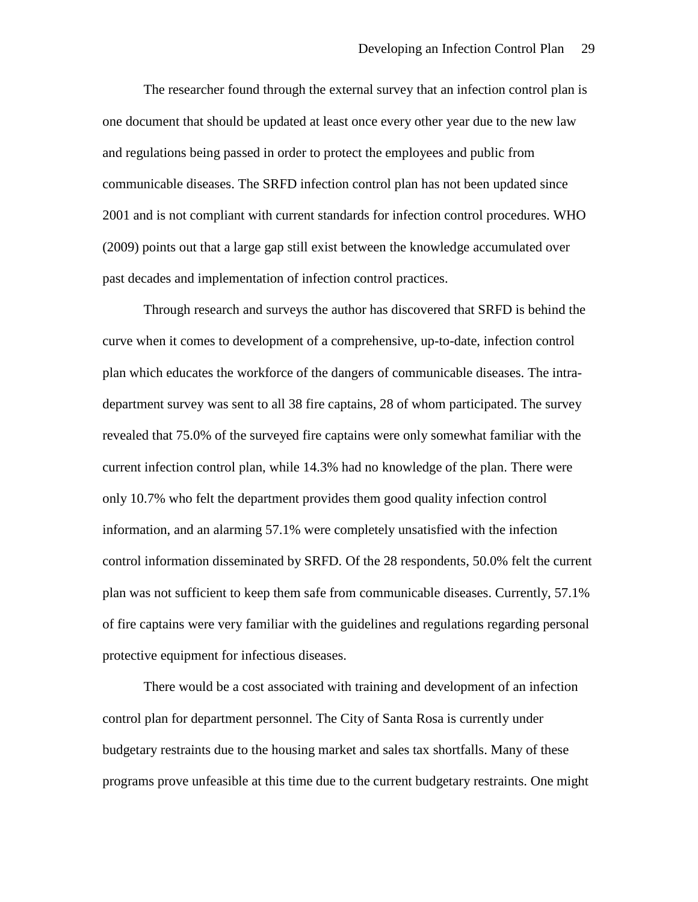The researcher found through the external survey that an infection control plan is one document that should be updated at least once every other year due to the new law and regulations being passed in order to protect the employees and public from communicable diseases. The SRFD infection control plan has not been updated since 2001 and is not compliant with current standards for infection control procedures. WHO (2009) points out that a large gap still exist between the knowledge accumulated over past decades and implementation of infection control practices.

Through research and surveys the author has discovered that SRFD is behind the curve when it comes to development of a comprehensive, up-to-date, infection control plan which educates the workforce of the dangers of communicable diseases. The intradepartment survey was sent to all 38 fire captains, 28 of whom participated. The survey revealed that 75.0% of the surveyed fire captains were only somewhat familiar with the current infection control plan, while 14.3% had no knowledge of the plan. There were only 10.7% who felt the department provides them good quality infection control information, and an alarming 57.1% were completely unsatisfied with the infection control information disseminated by SRFD. Of the 28 respondents, 50.0% felt the current plan was not sufficient to keep them safe from communicable diseases. Currently, 57.1% of fire captains were very familiar with the guidelines and regulations regarding personal protective equipment for infectious diseases.

There would be a cost associated with training and development of an infection control plan for department personnel. The City of Santa Rosa is currently under budgetary restraints due to the housing market and sales tax shortfalls. Many of these programs prove unfeasible at this time due to the current budgetary restraints. One might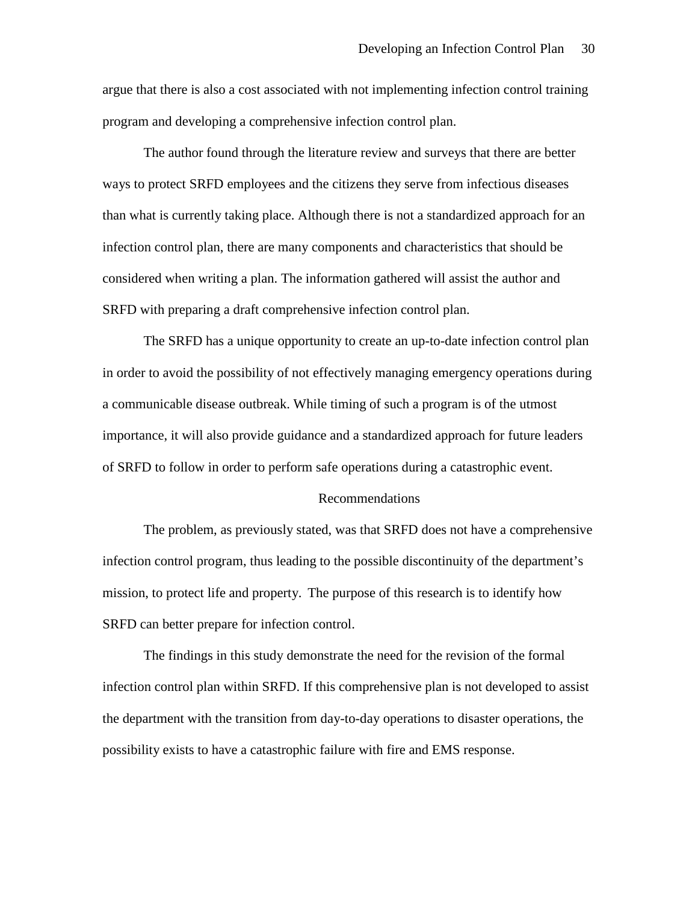argue that there is also a cost associated with not implementing infection control training program and developing a comprehensive infection control plan.

The author found through the literature review and surveys that there are better ways to protect SRFD employees and the citizens they serve from infectious diseases than what is currently taking place. Although there is not a standardized approach for an infection control plan, there are many components and characteristics that should be considered when writing a plan. The information gathered will assist the author and SRFD with preparing a draft comprehensive infection control plan.

The SRFD has a unique opportunity to create an up-to-date infection control plan in order to avoid the possibility of not effectively managing emergency operations during a communicable disease outbreak. While timing of such a program is of the utmost importance, it will also provide guidance and a standardized approach for future leaders of SRFD to follow in order to perform safe operations during a catastrophic event.

#### Recommendations

The problem, as previously stated, was that SRFD does not have a comprehensive infection control program, thus leading to the possible discontinuity of the department's mission, to protect life and property. The purpose of this research is to identify how SRFD can better prepare for infection control.

The findings in this study demonstrate the need for the revision of the formal infection control plan within SRFD. If this comprehensive plan is not developed to assist the department with the transition from day-to-day operations to disaster operations, the possibility exists to have a catastrophic failure with fire and EMS response.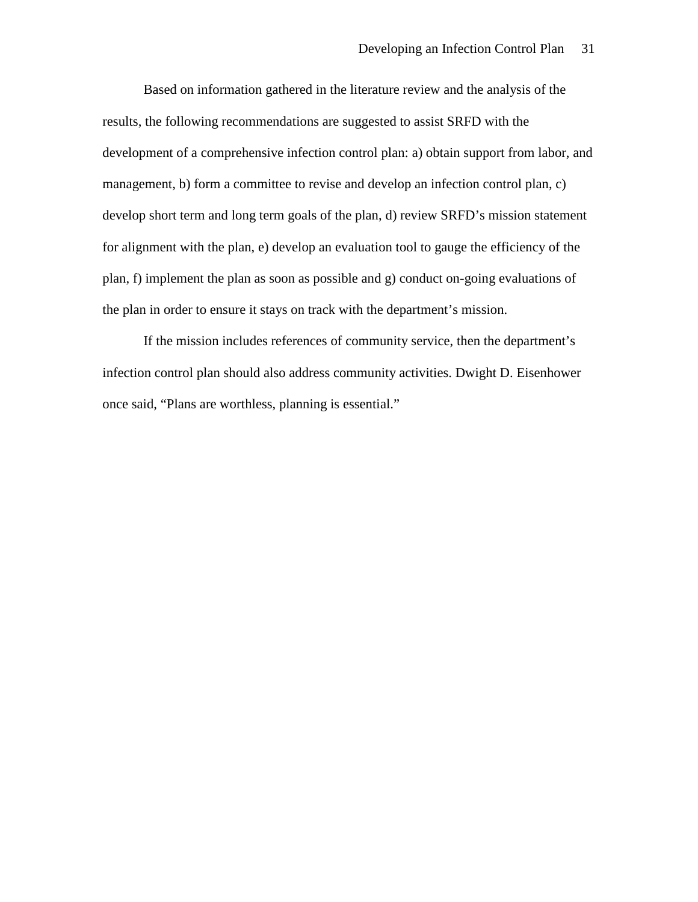Based on information gathered in the literature review and the analysis of the results, the following recommendations are suggested to assist SRFD with the development of a comprehensive infection control plan: a) obtain support from labor, and management, b) form a committee to revise and develop an infection control plan, c) develop short term and long term goals of the plan, d) review SRFD's mission statement for alignment with the plan, e) develop an evaluation tool to gauge the efficiency of the plan, f) implement the plan as soon as possible and g) conduct on-going evaluations of the plan in order to ensure it stays on track with the department's mission.

If the mission includes references of community service, then the department's infection control plan should also address community activities. Dwight D. Eisenhower once said, "Plans are worthless, planning is essential."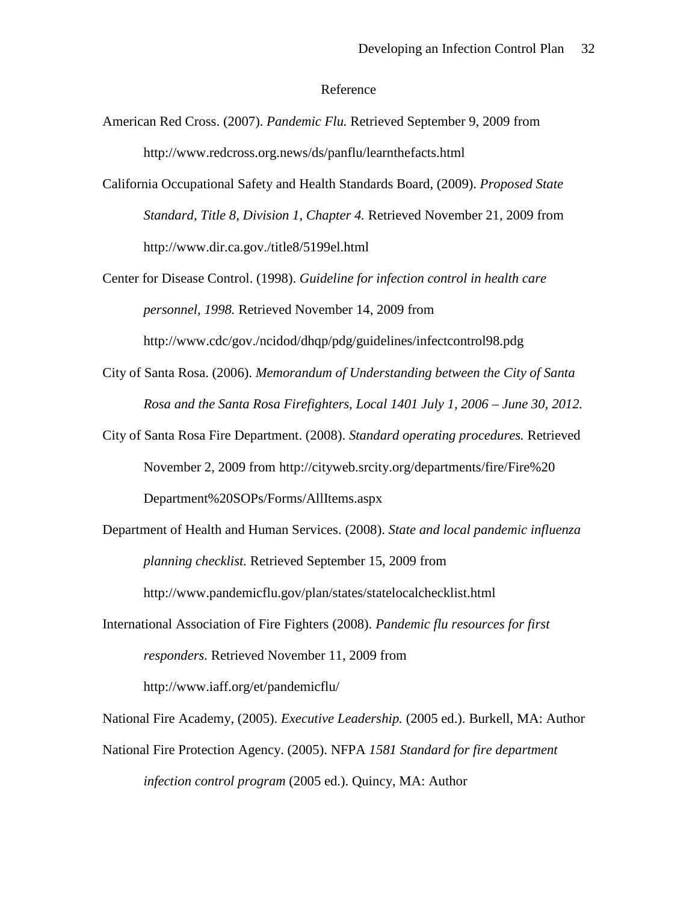### Reference

- American Red Cross. (2007). *Pandemic Flu.* Retrieved September 9, 2009 from http://www.redcross.org.news/ds/panflu/learnthefacts.html
- California Occupational Safety and Health Standards Board, (2009). *Proposed State Standard, Title 8, Division 1, Chapter 4.* Retrieved November 21, 2009 from http://www.dir.ca.gov./title8/5199el.html
- Center for Disease Control. (1998). *Guideline for infection control in health care personnel, 1998.* Retrieved November 14, 2009 from http://www.cdc/gov./ncidod/dhqp/pdg/guidelines/infectcontrol98.pdg
- City of Santa Rosa. (2006). *Memorandum of Understanding between the City of Santa Rosa and the Santa Rosa Firefighters, Local 1401 July 1, 2006 – June 30, 2012.*
- City of Santa Rosa Fire Department. (2008). *Standard operating procedures.* Retrieved November 2, 2009 from http://cityweb.srcity.org/departments/fire/Fire%20 Department%20SOPs/Forms/AllItems.aspx
- Department of Health and Human Services. (2008). *State and local pandemic influenza planning checklist.* Retrieved September 15, 2009 from http://www.pandemicflu.gov/plan/states/statelocalchecklist.html
- International Association of Fire Fighters (2008). *Pandemic flu resources for first responders.* Retrieved November 11, 2009 from http://www.iaff.org/et/pandemicflu/

National Fire Academy, (2005). *Executive Leadership.* (2005 ed.). Burkell, MA: Author

National Fire Protection Agency. (2005). NFPA *1581 Standard for fire department infection control program* (2005 ed.). Quincy, MA: Author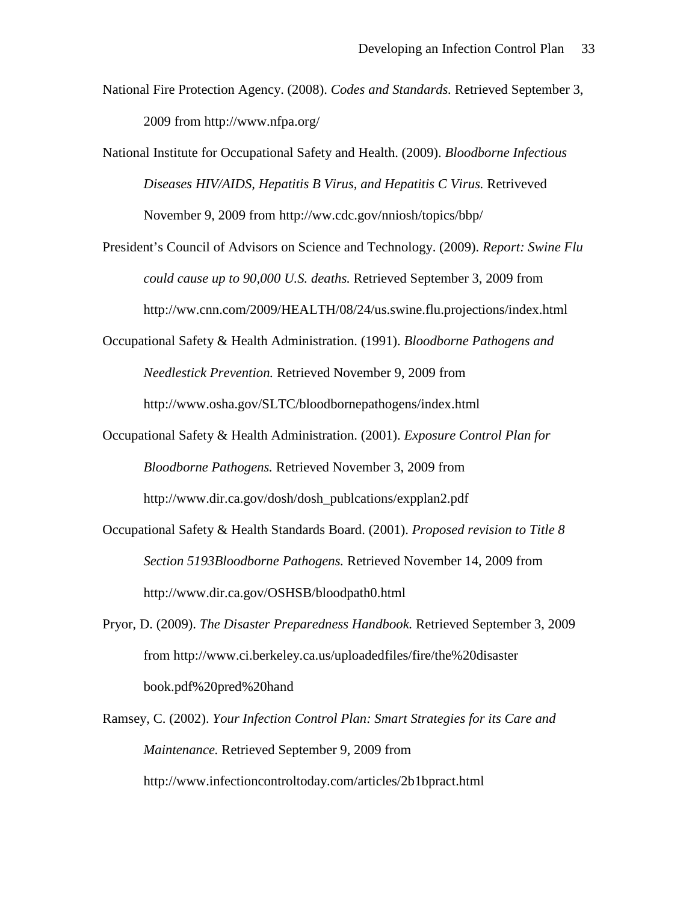- National Fire Protection Agency. (2008). *Codes and Standards.* Retrieved September 3, 2009 from http://www.nfpa.org/
- National Institute for Occupational Safety and Health. (2009). *Bloodborne Infectious Diseases HIV/AIDS, Hepatitis B Virus, and Hepatitis C Virus.* Retriveved November 9, 2009 from http://ww.cdc.gov/nniosh/topics/bbp/
- President's Council of Advisors on Science and Technology. (2009). *Report: Swine Flu could cause up to 90,000 U.S. deaths.* Retrieved September 3, 2009 from http://ww.cnn.com/2009/HEALTH/08/24/us.swine.flu.projections/index.html
- Occupational Safety & Health Administration. (1991). *Bloodborne Pathogens and Needlestick Prevention.* Retrieved November 9, 2009 from http://www.osha.gov/SLTC/bloodbornepathogens/index.html
- Occupational Safety & Health Administration. (2001). *Exposure Control Plan for Bloodborne Pathogens.* Retrieved November 3, 2009 from http://www.dir.ca.gov/dosh/dosh\_publcations/expplan2.pdf
- Occupational Safety & Health Standards Board. (2001). *Proposed revision to Title 8 Section 5193Bloodborne Pathogens.* Retrieved November 14, 2009 from http://www.dir.ca.gov/OSHSB/bloodpath0.html
- Pryor, D. (2009). *The Disaster Preparedness Handbook.* Retrieved September 3, 2009 from http://www.ci.berkeley.ca.us/uploadedfiles/fire/the%20disaster book.pdf%20pred%20hand
- Ramsey, C. (2002). *Your Infection Control Plan: Smart Strategies for its Care and Maintenance.* Retrieved September 9, 2009 from

http://www.infectioncontroltoday.com/articles/2b1bpract.html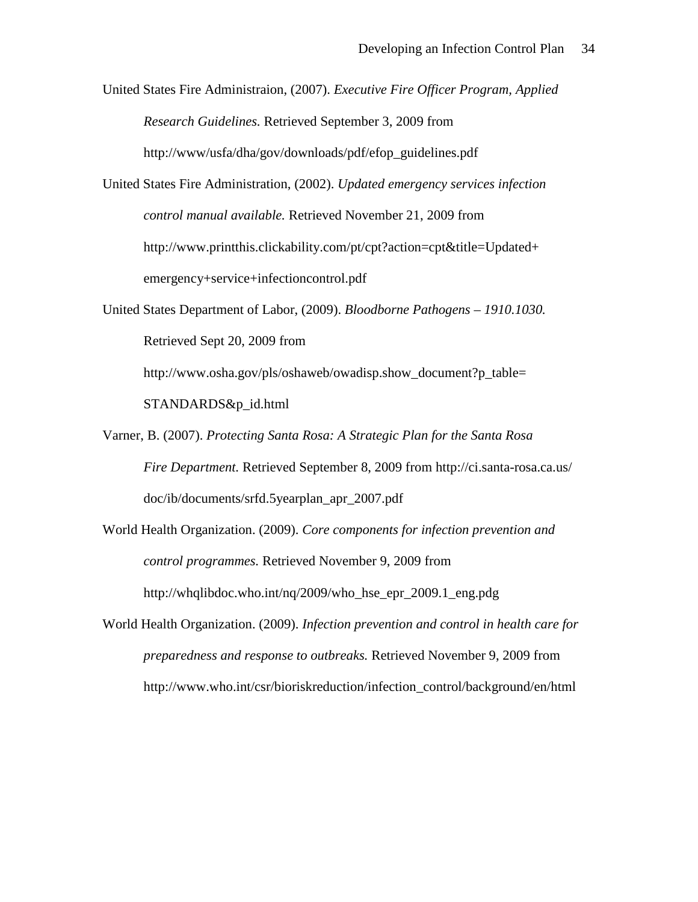United States Fire Administraion, (2007). *Executive Fire Officer Program, Applied Research Guidelines.* Retrieved September 3, 2009 from http://www/usfa/dha/gov/downloads/pdf/efop\_guidelines.pdf

United States Fire Administration, (2002). *Updated emergency services infection control manual available.* Retrieved November 21, 2009 from http://www.printthis.clickability.com/pt/cpt?action=cpt&title=Updated+ emergency+service+infectioncontrol.pdf

- United States Department of Labor, (2009). *Bloodborne Pathogens – 1910.1030.* Retrieved Sept 20, 2009 from http://www.osha.gov/pls/oshaweb/owadisp.show\_document?p\_table= STANDARDS&p\_id.html
- Varner, B. (2007). *Protecting Santa Rosa: A Strategic Plan for the Santa Rosa Fire Department.* Retrieved September 8, 2009 from http://ci.santa-rosa.ca.us/ doc/ib/documents/srfd.5yearplan\_apr\_2007.pdf
- World Health Organization. (2009). *Core components for infection prevention and control programmes.* Retrieved November 9, 2009 from http://whqlibdoc.who.int/nq/2009/who\_hse\_epr\_2009.1\_eng.pdg
- World Health Organization. (2009). *Infection prevention and control in health care for preparedness and response to outbreaks.* Retrieved November 9, 2009 from http://www.who.int/csr/bioriskreduction/infection\_control/background/en/html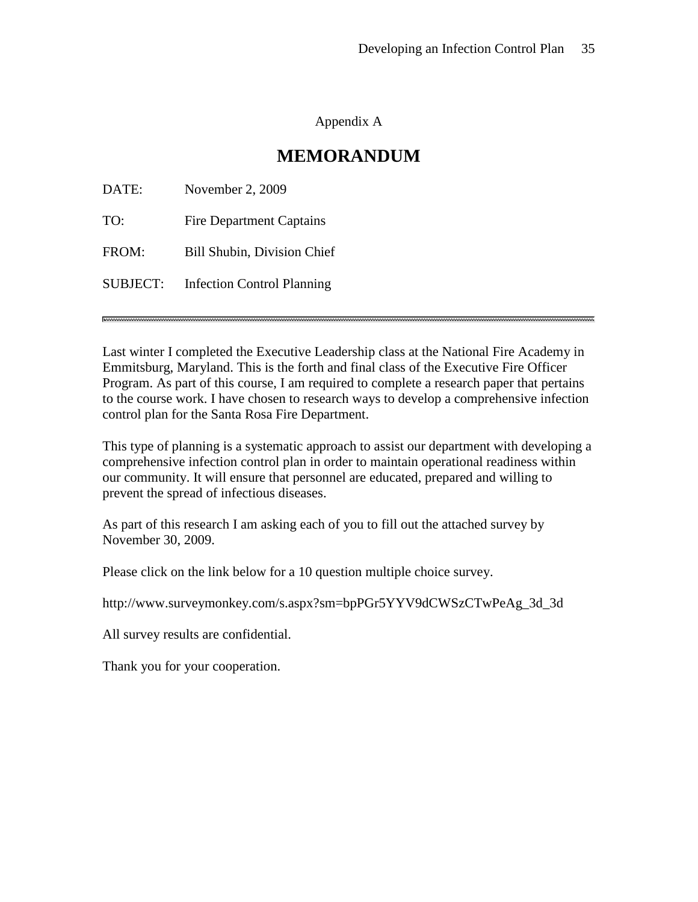Appendix A

## **MEMORANDUM**

| DATE:    | November 2, 2009                   |
|----------|------------------------------------|
| TO:      | <b>Fire Department Captains</b>    |
| FROM:    | <b>Bill Shubin, Division Chief</b> |
| SUBJECT: | <b>Infection Control Planning</b>  |
|          |                                    |

Last winter I completed the Executive Leadership class at the National Fire Academy in Emmitsburg, Maryland. This is the forth and final class of the Executive Fire Officer Program. As part of this course, I am required to complete a research paper that pertains to the course work. I have chosen to research ways to develop a comprehensive infection control plan for the Santa Rosa Fire Department.

This type of planning is a systematic approach to assist our department with developing a comprehensive infection control plan in order to maintain operational readiness within our community. It will ensure that personnel are educated, prepared and willing to prevent the spread of infectious diseases.

As part of this research I am asking each of you to fill out the attached survey by November 30, 2009.

Please click on the link below for a 10 question multiple choice survey.

http://www.surveymonkey.com/s.aspx?sm=bpPGr5YYV9dCWSzCTwPeAg\_3d\_3d

All survey results are confidential.

Thank you for your cooperation.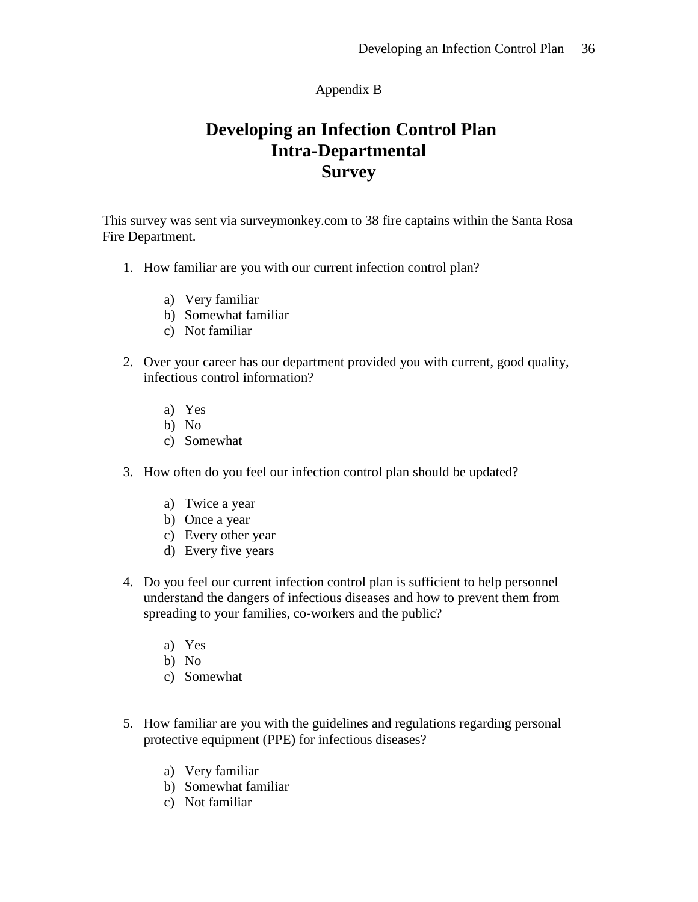## Appendix B

# **Developing an Infection Control Plan Intra-Departmental Survey**

This survey was sent via surveymonkey.com to 38 fire captains within the Santa Rosa Fire Department.

- 1. How familiar are you with our current infection control plan?
	- a) Very familiar
	- b) Somewhat familiar
	- c) Not familiar
- 2. Over your career has our department provided you with current, good quality, infectious control information?
	- a) Yes
	- b) No
	- c) Somewhat
- 3. How often do you feel our infection control plan should be updated?
	- a) Twice a year
	- b) Once a year
	- c) Every other year
	- d) Every five years
- 4. Do you feel our current infection control plan is sufficient to help personnel understand the dangers of infectious diseases and how to prevent them from spreading to your families, co-workers and the public?
	- a) Yes
	- b) No
	- c) Somewhat
- 5. How familiar are you with the guidelines and regulations regarding personal protective equipment (PPE) for infectious diseases?
	- a) Very familiar
	- b) Somewhat familiar
	- c) Not familiar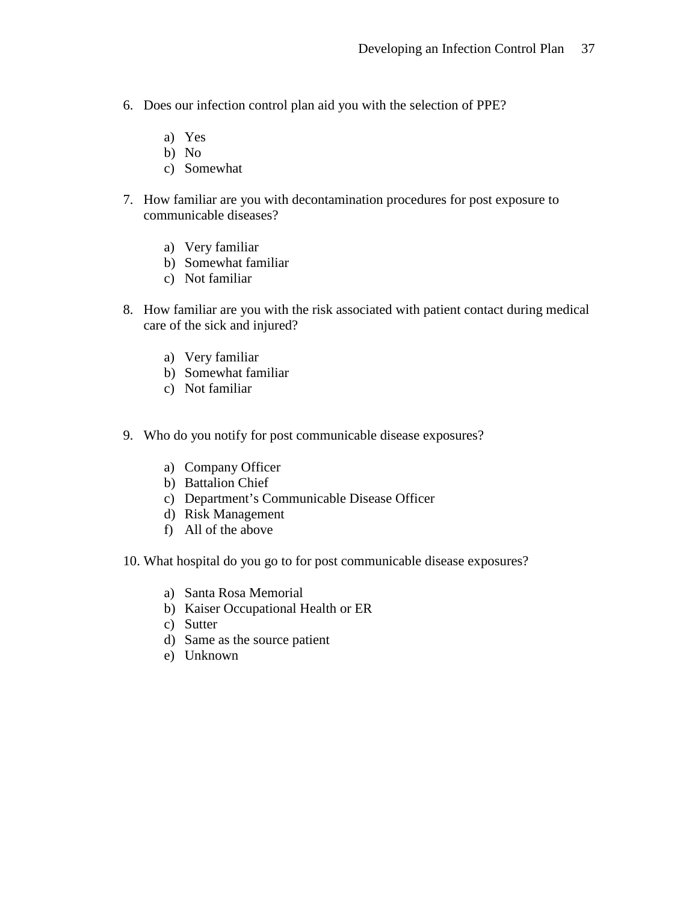- 6. Does our infection control plan aid you with the selection of PPE?
	- a) Yes
	- b) No
	- c) Somewhat
- 7. How familiar are you with decontamination procedures for post exposure to communicable diseases?
	- a) Very familiar
	- b) Somewhat familiar
	- c) Not familiar
- 8. How familiar are you with the risk associated with patient contact during medical care of the sick and injured?
	- a) Very familiar
	- b) Somewhat familiar
	- c) Not familiar
- 9. Who do you notify for post communicable disease exposures?
	- a) Company Officer
	- b) Battalion Chief
	- c) Department's Communicable Disease Officer
	- d) Risk Management
	- f) All of the above
- 10. What hospital do you go to for post communicable disease exposures?
	- a) Santa Rosa Memorial
	- b) Kaiser Occupational Health or ER
	- c) Sutter
	- d) Same as the source patient
	- e) Unknown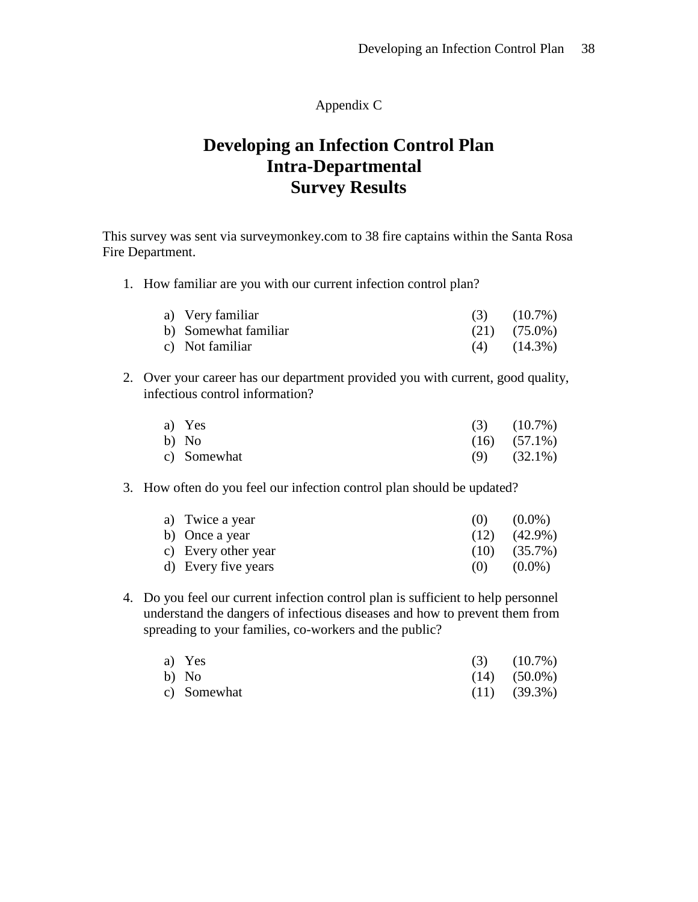### Appendix C

# **Developing an Infection Control Plan Intra-Departmental Survey Results**

This survey was sent via surveymonkey.com to 38 fire captains within the Santa Rosa Fire Department.

1. How familiar are you with our current infection control plan?

| a) Very familiar     | $(3)$ $(10.7\%)$  |
|----------------------|-------------------|
| b) Somewhat familiar | $(21)$ $(75.0\%)$ |
| c) Not familiar      | $(4)$ $(14.3\%)$  |

2. Over your career has our department provided you with current, good quality, infectious control information?

| a) Yes      | $(3)$ $(10.7\%)$  |
|-------------|-------------------|
| b) No       | $(16)$ $(57.1\%)$ |
| c) Somewhat | $(9)$ $(32.1\%)$  |

3. How often do you feel our infection control plan should be updated?

| a) Twice a year     | (0)  | $(0.0\%)$         |
|---------------------|------|-------------------|
| b) Once a year      | (12) | $(42.9\%)$        |
| c) Every other year |      | $(10)$ $(35.7\%)$ |
| d) Every five years | (0)  | $(0.0\%)$         |

4. Do you feel our current infection control plan is sufficient to help personnel understand the dangers of infectious diseases and how to prevent them from spreading to your families, co-workers and the public?

| a) Yes      | $(3)$ $(10.7\%)$  |
|-------------|-------------------|
| b) No       | $(14)$ $(50.0\%)$ |
| c) Somewhat | $(11)$ $(39.3\%)$ |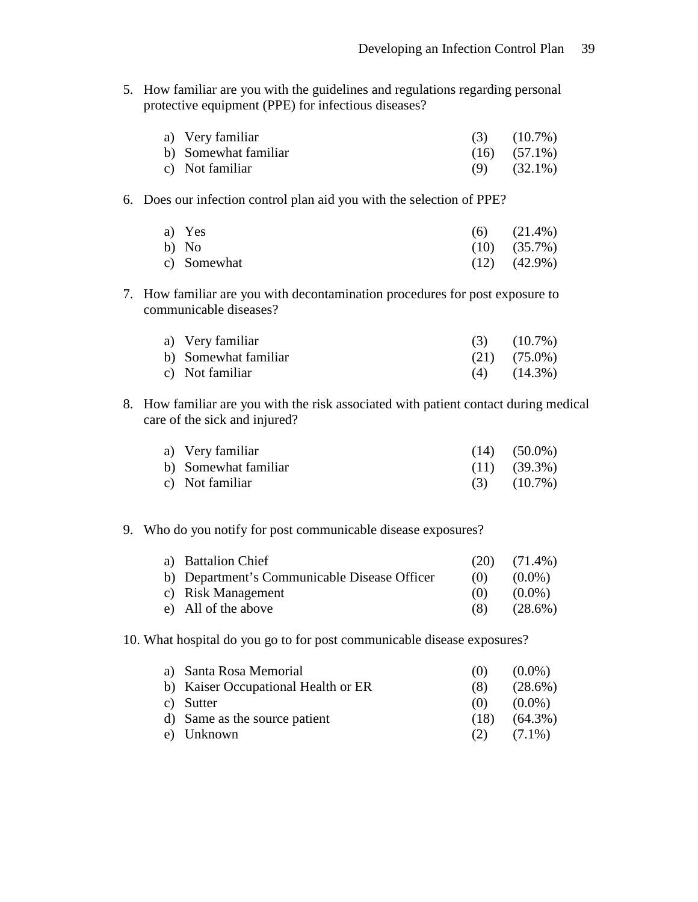5. How familiar are you with the guidelines and regulations regarding personal protective equipment (PPE) for infectious diseases?

| a) Very familiar     | $(3)$ $(10.7\%)$  |
|----------------------|-------------------|
| b) Somewhat familiar | $(16)$ $(57.1\%)$ |
| c) Not familiar      | $(9)$ $(32.1\%)$  |

6. Does our infection control plan aid you with the selection of PPE?

| a) Yes      | $(6)$ $(21.4\%)$  |
|-------------|-------------------|
| b) No       | $(10)$ $(35.7\%)$ |
| c) Somewhat | $(12)$ $(42.9\%)$ |

7. How familiar are you with decontamination procedures for post exposure to communicable diseases?

| a) Very familiar     | $(3)$ $(10.7\%)$  |
|----------------------|-------------------|
| b) Somewhat familiar | $(21)$ $(75.0\%)$ |
| c) Not familiar      | $(4)$ $(14.3\%)$  |

8. How familiar are you with the risk associated with patient contact during medical care of the sick and injured?

| a) Very familiar     | $(14)$ $(50.0\%)$ |
|----------------------|-------------------|
| b) Somewhat familiar | $(11)$ $(39.3\%)$ |
| c) Not familiar      | $(3)$ $(10.7\%)$  |

9. Who do you notify for post communicable disease exposures?

| a) Battalion Chief                           | (20) | $(71.4\%)$ |
|----------------------------------------------|------|------------|
| b) Department's Communicable Disease Officer | (0)  | $(0.0\%)$  |
| c) Risk Management                           | (0)  | $(0.0\%)$  |
| e) All of the above                          | (8)  | $(28.6\%)$ |

10. What hospital do you go to for post communicable disease exposures?

| a) Santa Rosa Memorial              | (0)  | $(0.0\%)$  |
|-------------------------------------|------|------------|
| b) Kaiser Occupational Health or ER | (8)  | $(28.6\%)$ |
| c) Sutter                           | (0)  | $(0.0\%)$  |
| d) Same as the source patient       | (18) | $(64.3\%)$ |
| e) Unknown                          | (2)  | $(7.1\%)$  |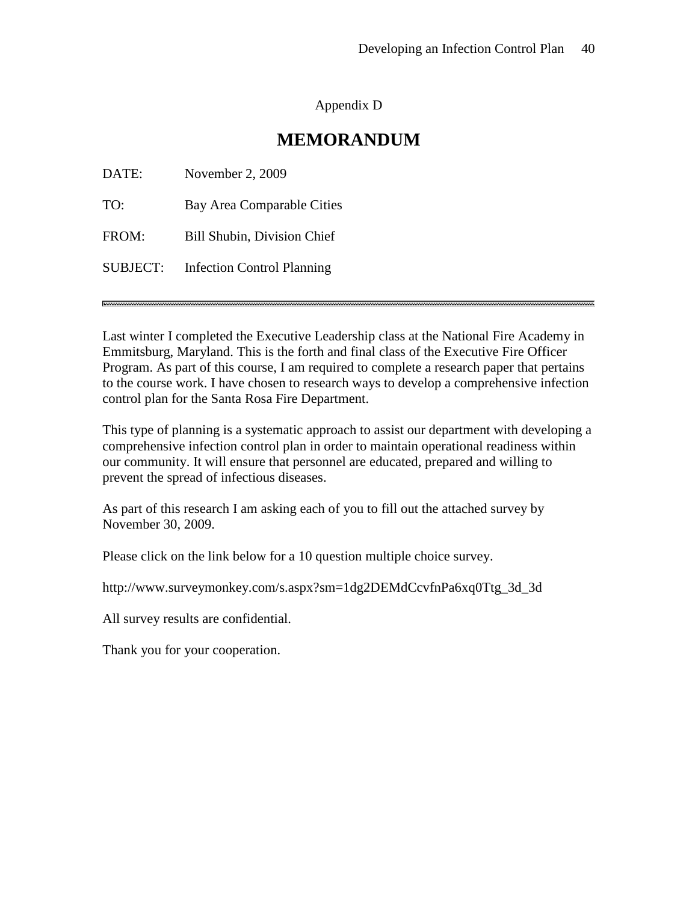## Appendix D

## **MEMORANDUM**

| DATE:    | November 2, 2009                  |
|----------|-----------------------------------|
| TO:      | Bay Area Comparable Cities        |
| FROM:    | Bill Shubin, Division Chief       |
| SUBJECT: | <b>Infection Control Planning</b> |

Last winter I completed the Executive Leadership class at the National Fire Academy in Emmitsburg, Maryland. This is the forth and final class of the Executive Fire Officer Program. As part of this course, I am required to complete a research paper that pertains to the course work. I have chosen to research ways to develop a comprehensive infection control plan for the Santa Rosa Fire Department.

This type of planning is a systematic approach to assist our department with developing a comprehensive infection control plan in order to maintain operational readiness within our community. It will ensure that personnel are educated, prepared and willing to prevent the spread of infectious diseases.

As part of this research I am asking each of you to fill out the attached survey by November 30, 2009.

Please click on the link below for a 10 question multiple choice survey.

http://www.surveymonkey.com/s.aspx?sm=1dg2DEMdCcvfnPa6xq0Ttg\_3d\_3d

All survey results are confidential.

Thank you for your cooperation.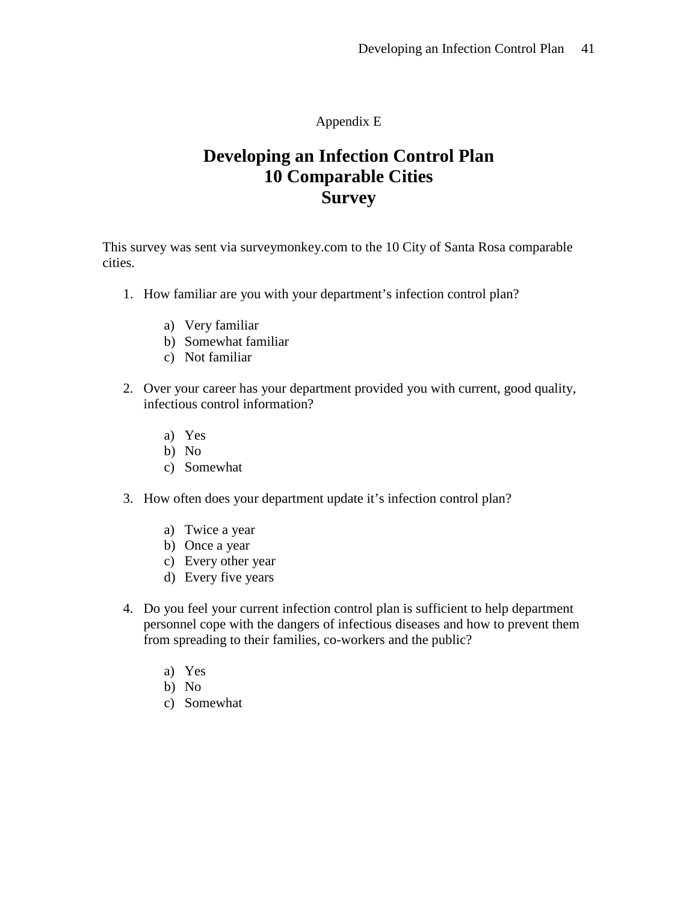Appendix E

# **Developing an Infection Control Plan 10 Comparable Cities Survey**

This survey was sent via surveymonkey.com to the 10 City of Santa Rosa comparable cities.

- 1. How familiar are you with your department's infection control plan?
	- a) Very familiar
	- b) Somewhat familiar
	- c) Not familiar
- 2. Over your career has your department provided you with current, good quality, infectious control information?
	- a) Yes
	- b) No
	- c) Somewhat
- 3. How often does your department update it's infection control plan?
	- a) Twice a year
	- b) Once a year
	- c) Every other year
	- d) Every five years
- 4. Do you feel your current infection control plan is sufficient to help department personnel cope with the dangers of infectious diseases and how to prevent them from spreading to their families, co-workers and the public?
	- a) Yes
	- b) No
	- c) Somewhat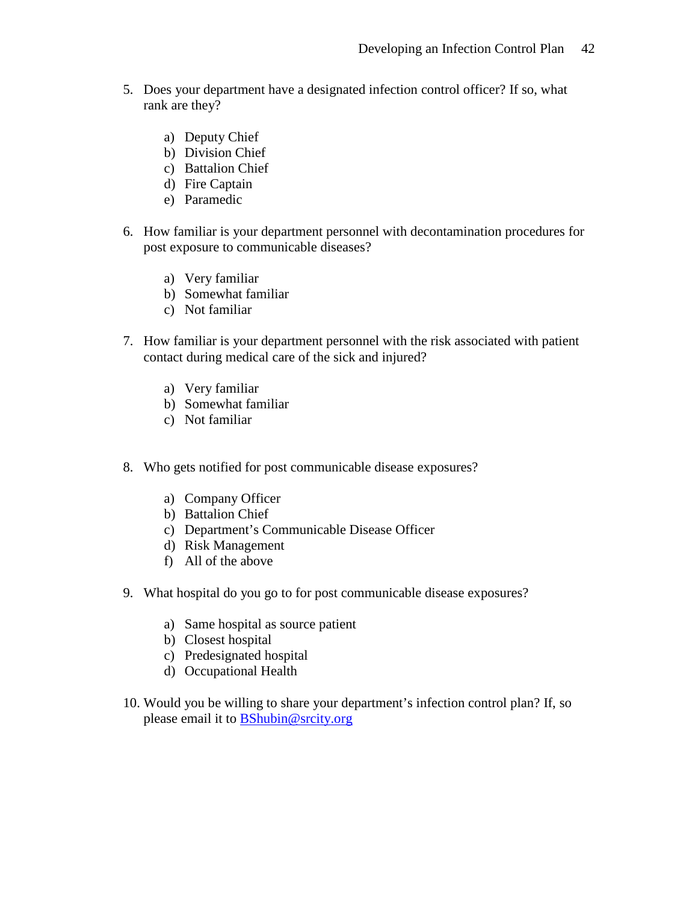- 5. Does your department have a designated infection control officer? If so, what rank are they?
	- a) Deputy Chief
	- b) Division Chief
	- c) Battalion Chief
	- d) Fire Captain
	- e) Paramedic
- 6. How familiar is your department personnel with decontamination procedures for post exposure to communicable diseases?
	- a) Very familiar
	- b) Somewhat familiar
	- c) Not familiar
- 7. How familiar is your department personnel with the risk associated with patient contact during medical care of the sick and injured?
	- a) Very familiar
	- b) Somewhat familiar
	- c) Not familiar
- 8. Who gets notified for post communicable disease exposures?
	- a) Company Officer
	- b) Battalion Chief
	- c) Department's Communicable Disease Officer
	- d) Risk Management
	- f) All of the above
- 9. What hospital do you go to for post communicable disease exposures?
	- a) Same hospital as source patient
	- b) Closest hospital
	- c) Predesignated hospital
	- d) Occupational Health
- 10. Would you be willing to share your department's infection control plan? If, so please email it to [BShubin@srcity.org](mailto:BShubin@srcity.org)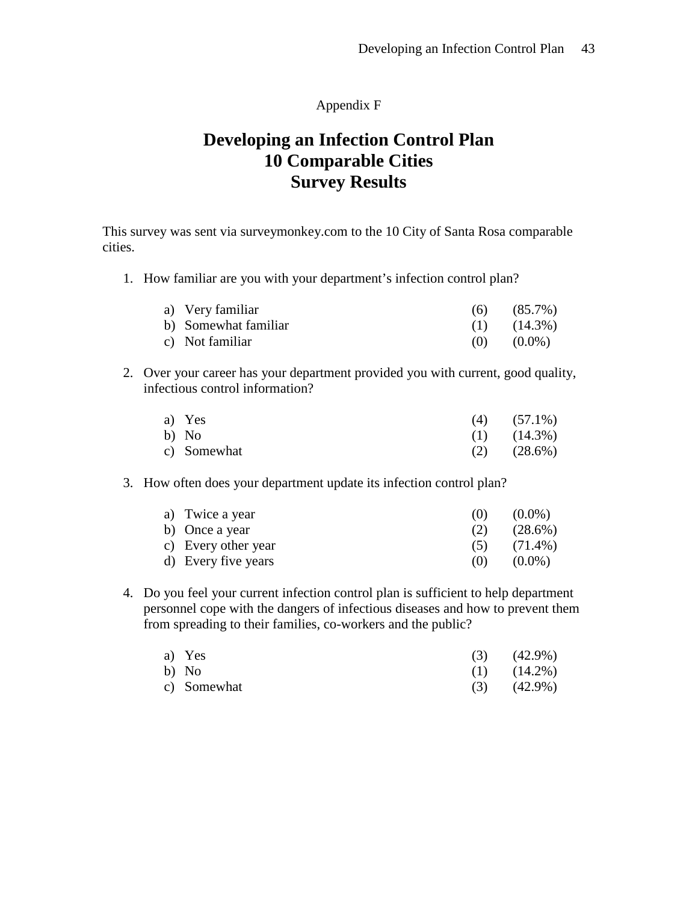### Appendix F

# **Developing an Infection Control Plan 10 Comparable Cities Survey Results**

This survey was sent via surveymonkey.com to the 10 City of Santa Rosa comparable cities.

1. How familiar are you with your department's infection control plan?

| a) Very familiar     | $(6)$ $(85.7\%)$ |
|----------------------|------------------|
| b) Somewhat familiar | $(1)$ $(14.3\%)$ |
| c) Not familiar      | $(0)$ $(0.0\%)$  |

2. Over your career has your department provided you with current, good quality, infectious control information?

| a) Yes      | $(4)$ $(57.1\%)$ |
|-------------|------------------|
| b) No       | $(1)$ $(14.3\%)$ |
| c) Somewhat | $(2)$ $(28.6\%)$ |

### 3. How often does your department update its infection control plan?

| a) Twice a year     | (0) | $(0.0\%)$  |
|---------------------|-----|------------|
| b) Once a year      | (2) | $(28.6\%)$ |
| c) Every other year | (5) | $(71.4\%)$ |
| d) Every five years | (0) | $(0.0\%)$  |

4. Do you feel your current infection control plan is sufficient to help department personnel cope with the dangers of infectious diseases and how to prevent them from spreading to their families, co-workers and the public?

| a) Yes      | $(3)$ $(42.9\%)$ |
|-------------|------------------|
| b) No       | $(1)$ $(14.2\%)$ |
| c) Somewhat | $(3)$ $(42.9\%)$ |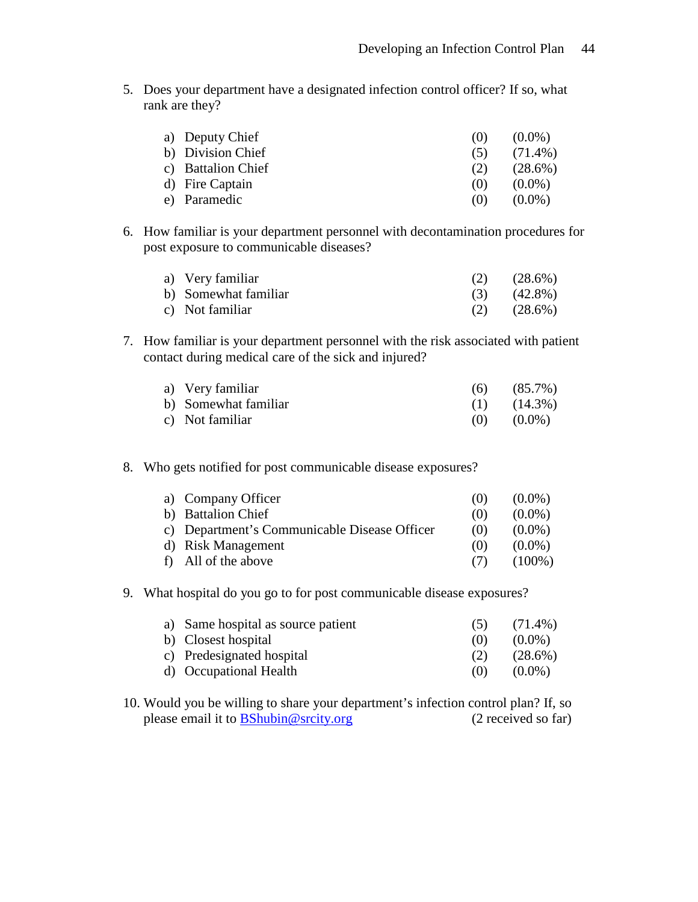5. Does your department have a designated infection control officer? If so, what rank are they?

| a) Deputy Chief    | (0) | $(0.0\%)$  |
|--------------------|-----|------------|
| b) Division Chief  | (5) | $(71.4\%)$ |
| c) Battalion Chief | (2) | $(28.6\%)$ |
| d) Fire Captain    | (1) | $(0.0\%)$  |
| e) Paramedic       | (0) | $(0.0\%)$  |

6. How familiar is your department personnel with decontamination procedures for post exposure to communicable diseases?

| a) Very familiar     | $(2)$ $(28.6\%)$ |
|----------------------|------------------|
| b) Somewhat familiar | $(3)$ $(42.8\%)$ |
| c) Not familiar      | $(2)$ $(28.6\%)$ |

7. How familiar is your department personnel with the risk associated with patient contact during medical care of the sick and injured?

| a) Very familiar     | $(6)$ $(85.7\%)$ |
|----------------------|------------------|
| b) Somewhat familiar | $(1)$ $(14.3\%)$ |
| c) Not familiar      | $(0)$ $(0.0\%)$  |

8. Who gets notified for post communicable disease exposures?

| a) Company Officer                           | (() | $(0.0\%)$ |
|----------------------------------------------|-----|-----------|
| b) Battalion Chief                           | (0) | $(0.0\%)$ |
| c) Department's Communicable Disease Officer | (0) | $(0.0\%)$ |
| d) Risk Management                           | (0) | $(0.0\%)$ |
| f) All of the above                          | (7) | $(100\%)$ |

9. What hospital do you go to for post communicable disease exposures?

| a) Same hospital as source patient | (5) | $(71.4\%)$ |
|------------------------------------|-----|------------|
| b) Closest hospital                | (0) | $(0.0\%)$  |
| c) Predesignated hospital          | (2) | $(28.6\%)$ |
| d) Occupational Health             | (() | $(0.0\%)$  |

10. Would you be willing to share your department's infection control plan? If, so please email it to [BShubin@srcity.org](mailto:BShubin@srcity.org) (2 received so far)